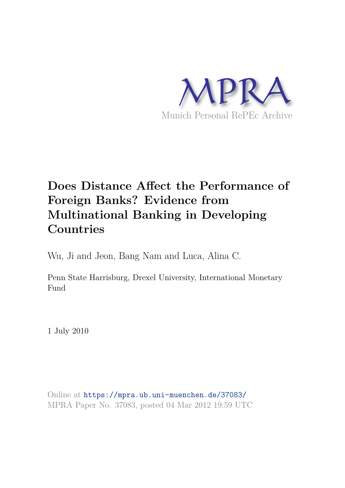

# **Does Distance Affect the Performance of Foreign Banks? Evidence from Multinational Banking in Developing Countries**

Wu, Ji and Jeon, Bang Nam and Luca, Alina C.

Penn State Harrisburg, Drexel University, International Monetary Fund

1 July 2010

Online at https://mpra.ub.uni-muenchen.de/37083/ MPRA Paper No. 37083, posted 04 Mar 2012 19:59 UTC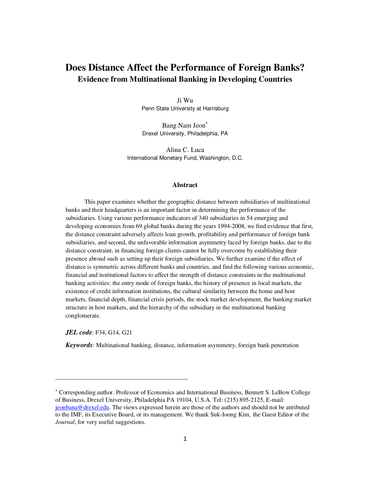# **Does Distance Affect the Performance of Foreign Banks? Evidence from Multinational Banking in Developing Countries**

Ji Wu Penn State University at Harrisburg

Bang Nam Jeon[∗](#page-42-0) Drexel University, Philadelphia, PA

Alina C. Luca International Monetary Fund, Washington, D.C.

#### **Abstract**

 This paper examines whether the geographic distance between subsidiaries of multinational banks and their headquarters is an important factor in determining the performance of the subsidiaries. Using various performance indicators of 340 subsidiaries in 54 emerging and developing economies from 69 global banks during the years 1994-2008, we find evidence that first, the distance constraint adversely affects loan growth, profitability and performance of foreign bank subsidiaries, and second, the unfavorable information asymmetry faced by foreign banks, due to the distance constraint, in financing foreign clients cannot be fully overcome by establishing their presence abroad such as setting up their foreign subsidiaries. We further examine if the effect of distance is symmetric across different banks and countries, and find the following various economic, financial and institutional factors to affect the strength of distance constraints in the multinational banking activities: the entry mode of foreign banks, the history of presence in local markets, the existence of credit information institutions, the cultural similarity between the home and host markets, financial depth, financial crisis periods, the stock market development, the banking market structure in host markets, and the hierarchy of the subsidiary in the multinational banking conglomerate.

*JEL code*: F34, G14, G21

\_\_\_\_\_\_\_\_\_\_\_\_\_\_\_\_\_\_\_\_\_\_\_\_\_\_\_\_\_\_\_\_\_\_\_\_\_\_\_\_\_\_\_

*Keywords*: Multinational banking, distance, information asymmetry, foreign bank penetration

<sup>∗</sup> Corresponding author. Professor of Economics and International Business, Bennett S. LeBow College of Business, Drexel University, Philadelphia PA 19104, U.S.A. Tel: (215) 895-2125, E-mail: jeonbana@drexel.edu. The views expressed herein are those of the authors and should not be attributed to the IMF, its Executive Board, or its management. We thank Suk-Joong Kim, the Guest Editor of the *Journal*, for very useful suggestions.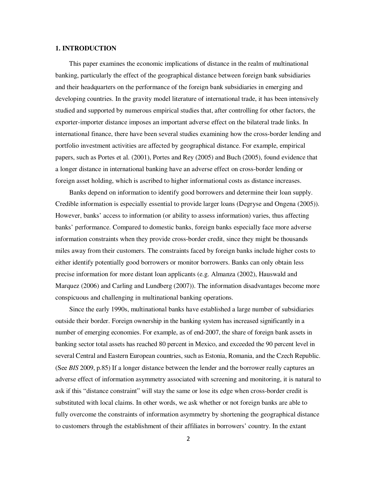#### **1. INTRODUCTION**

This paper examines the economic implications of distance in the realm of multinational banking, particularly the effect of the geographical distance between foreign bank subsidiaries and their headquarters on the performance of the foreign bank subsidiaries in emerging and developing countries. In the gravity model literature of international trade, it has been intensively studied and supported by numerous empirical studies that, after controlling for other factors, the exporter-importer distance imposes an important adverse effect on the bilateral trade links. In international finance, there have been several studies examining how the cross-border lending and portfolio investment activities are affected by geographical distance. For example, empirical papers, such as Portes et al. (2001), Portes and Rey (2005) and Buch (2005), found evidence that a longer distance in international banking have an adverse effect on cross-border lending or foreign asset holding, which is ascribed to higher informational costs as distance increases.

Banks depend on information to identify good borrowers and determine their loan supply. Credible information is especially essential to provide larger loans (Degryse and Ongena (2005)). However, banks' access to information (or ability to assess information) varies, thus affecting banks' performance. Compared to domestic banks, foreign banks especially face more adverse information constraints when they provide cross-border credit, since they might be thousands miles away from their customers. The constraints faced by foreign banks include higher costs to either identify potentially good borrowers or monitor borrowers. Banks can only obtain less precise information for more distant loan applicants (e.g. Almanza (2002), Hauswald and Marquez (2006) and Carling and Lundberg (2007)). The information disadvantages become more conspicuous and challenging in multinational banking operations.

Since the early 1990s, multinational banks have established a large number of subsidiaries outside their border. Foreign ownership in the banking system has increased significantly in a number of emerging economies. For example, as of end-2007, the share of foreign bank assets in banking sector total assets has reached 80 percent in Mexico, and exceeded the 90 percent level in several Central and Eastern European countries, such as Estonia, Romania, and the Czech Republic. (See *BIS* 2009, p.85) If a longer distance between the lender and the borrower really captures an adverse effect of information asymmetry associated with screening and monitoring, it is natural to ask if this "distance constraint" will stay the same or lose its edge when cross-border credit is substituted with local claims. In other words, we ask whether or not foreign banks are able to fully overcome the constraints of information asymmetry by shortening the geographical distance to customers through the establishment of their affiliates in borrowers' country. In the extant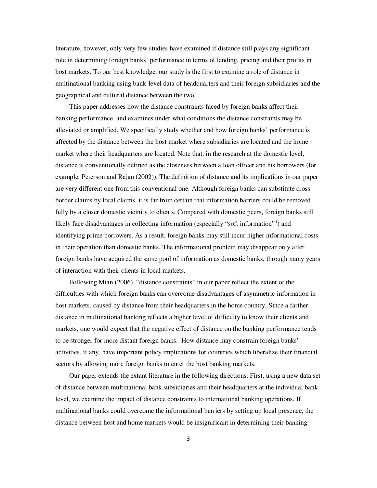literature, however, only very few studies have examined if distance still plays any significant role in determining foreign banks' performance in terms of lending, pricing and their profits in host markets. To our best knowledge, our study is the first to examine a role of distance in multinational banking using bank-level data of headquarters and their foreign subsidiaries and the geographical and cultural distance between the two.

This paper addresses how the distance constraints faced by foreign banks affect their banking performance, and examines under what conditions the distance constraints may be alleviated or amplified. We specifically study whether and how foreign banks' performance is affected by the distance between the host market where subsidiaries are located and the home market where their headquarters are located. Note that, in the research at the domestic level, distance is conventionally defined as the closeness between a loan officer and his borrowers (for example, Peterson and Rajan (2002)). The definition of distance and its implications in our paper are very different one from this conventional one. Although foreign banks can substitute crossborder claims by local claims, it is far from certain that information barriers could be removed fully by a closer domestic vicinity to clients. Compared with domestic peers, foreign banks still likely face disadvantages in collecting information (especially "soft information"<sup>[1](#page-42-1)</sup>) and identifying prime borrowers. As a result, foreign banks may still incur higher informational costs in their operation than domestic banks. The informational problem may disappear only after foreign banks have acquired the same pool of information as domestic banks, through many years of interaction with their clients in local markets.

Following Mian (2006), "distance constraints" in our paper reflect the extent of the difficulties with which foreign banks can overcome disadvantages of asymmetric information in host markets, caused by distance from their headquarters in the home country. Since a farther distance in multinational banking reflects a higher level of difficulty to know their clients and markets, one would expect that the negative effect of distance on the banking performance tends to be stronger for more distant foreign banks. How distance may constrain foreign banks' activities, if any, have important policy implications for countries which liberalize their financial sectors by allowing more foreign banks to enter the host banking markets.

Our paper extends the extant literature in the following directions: First, using a new data set of distance between multinational bank subsidiaries and their headquarters at the individual bank level, we examine the impact of distance constraints to international banking operations. If multinational banks could overcome the informational barriers by setting up local presence, the distance between host and home markets would be insignificant in determining their banking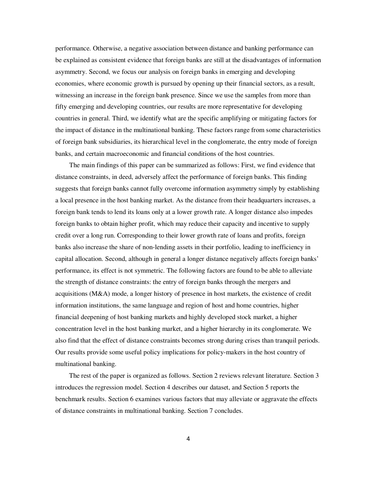performance. Otherwise, a negative association between distance and banking performance can be explained as consistent evidence that foreign banks are still at the disadvantages of information asymmetry. Second, we focus our analysis on foreign banks in emerging and developing economies, where economic growth is pursued by opening up their financial sectors, as a result, witnessing an increase in the foreign bank presence. Since we use the samples from more than fifty emerging and developing countries, our results are more representative for developing countries in general. Third, we identify what are the specific amplifying or mitigating factors for the impact of distance in the multinational banking. These factors range from some characteristics of foreign bank subsidiaries, its hierarchical level in the conglomerate, the entry mode of foreign banks, and certain macroeconomic and financial conditions of the host countries.

The main findings of this paper can be summarized as follows: First, we find evidence that distance constraints, in deed, adversely affect the performance of foreign banks. This finding suggests that foreign banks cannot fully overcome information asymmetry simply by establishing a local presence in the host banking market. As the distance from their headquarters increases, a foreign bank tends to lend its loans only at a lower growth rate. A longer distance also impedes foreign banks to obtain higher profit, which may reduce their capacity and incentive to supply credit over a long run. Corresponding to their lower growth rate of loans and profits, foreign banks also increase the share of non-lending assets in their portfolio, leading to inefficiency in capital allocation. Second, although in general a longer distance negatively affects foreign banks' performance, its effect is not symmetric. The following factors are found to be able to alleviate the strength of distance constraints: the entry of foreign banks through the mergers and acquisitions (M&A) mode, a longer history of presence in host markets, the existence of credit information institutions, the same language and region of host and home countries, higher financial deepening of host banking markets and highly developed stock market, a higher concentration level in the host banking market, and a higher hierarchy in its conglomerate. We also find that the effect of distance constraints becomes strong during crises than tranquil periods. Our results provide some useful policy implications for policy-makers in the host country of multinational banking.

The rest of the paper is organized as follows. Section 2 reviews relevant literature. Section 3 introduces the regression model. Section 4 describes our dataset, and Section 5 reports the benchmark results. Section 6 examines various factors that may alleviate or aggravate the effects of distance constraints in multinational banking. Section 7 concludes.

4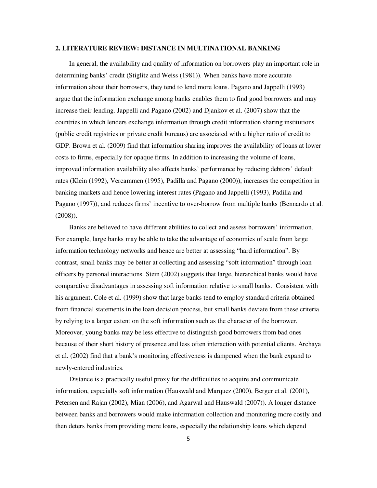#### **2. LITERATURE REVIEW: DISTANCE IN MULTINATIONAL BANKING**

In general, the availability and quality of information on borrowers play an important role in determining banks' credit (Stiglitz and Weiss (1981)). When banks have more accurate information about their borrowers, they tend to lend more loans. Pagano and Jappelli (1993) argue that the information exchange among banks enables them to find good borrowers and may increase their lending. Jappelli and Pagano (2002) and Djankov et al. (2007) show that the countries in which lenders exchange information through credit information sharing institutions (public credit registries or private credit bureaus) are associated with a higher ratio of credit to GDP. Brown et al. (2009) find that information sharing improves the availability of loans at lower costs to firms, especially for opaque firms. In addition to increasing the volume of loans, improved information availability also affects banks' performance by reducing debtors' default rates (Klein (1992), Vercammen (1995), Padilla and Pagano (2000)), increases the competition in banking markets and hence lowering interest rates (Pagano and Jappelli (1993), Padilla and Pagano (1997)), and reduces firms' incentive to over-borrow from multiple banks (Bennardo et al. (2008)).

Banks are believed to have different abilities to collect and assess borrowers' information. For example, large banks may be able to take the advantage of economies of scale from large information technology networks and hence are better at assessing "hard information". By contrast, small banks may be better at collecting and assessing "soft information" through loan officers by personal interactions. Stein (2002) suggests that large, hierarchical banks would have comparative disadvantages in assessing soft information relative to small banks. Consistent with his argument, Cole et al. (1999) show that large banks tend to employ standard criteria obtained from financial statements in the loan decision process, but small banks deviate from these criteria by relying to a larger extent on the soft information such as the character of the borrower. Moreover, young banks may be less effective to distinguish good borrowers from bad ones because of their short history of presence and less often interaction with potential clients. Archaya et al. (2002) find that a bank's monitoring effectiveness is dampened when the bank expand to newly-entered industries.

Distance is a practically useful proxy for the difficulties to acquire and communicate information, especially soft information (Hauswald and Marquez (2000), Berger et al. (2001), Petersen and Rajan (2002), Mian (2006), and Agarwal and Hauswald (2007)). A longer distance between banks and borrowers would make information collection and monitoring more costly and then deters banks from providing more loans, especially the relationship loans which depend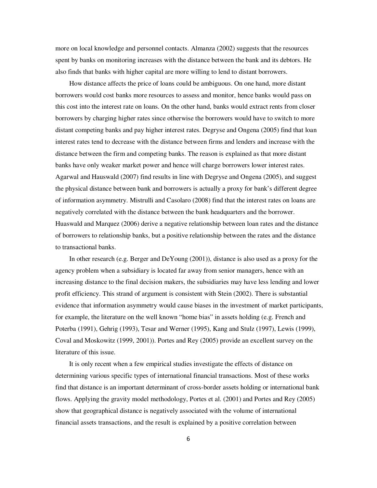more on local knowledge and personnel contacts. Almanza (2002) suggests that the resources spent by banks on monitoring increases with the distance between the bank and its debtors. He also finds that banks with higher capital are more willing to lend to distant borrowers.

How distance affects the price of loans could be ambiguous. On one hand, more distant borrowers would cost banks more resources to assess and monitor, hence banks would pass on this cost into the interest rate on loans. On the other hand, banks would extract rents from closer borrowers by charging higher rates since otherwise the borrowers would have to switch to more distant competing banks and pay higher interest rates. Degryse and Ongena (2005) find that loan interest rates tend to decrease with the distance between firms and lenders and increase with the distance between the firm and competing banks. The reason is explained as that more distant banks have only weaker market power and hence will charge borrowers lower interest rates. Agarwal and Hauswald (2007) find results in line with Degryse and Ongena (2005), and suggest the physical distance between bank and borrowers is actually a proxy for bank's different degree of information asymmetry. Mistrulli and Casolaro (2008) find that the interest rates on loans are negatively correlated with the distance between the bank headquarters and the borrower. Huaswald and Marquez (2006) derive a negative relationship between loan rates and the distance of borrowers to relationship banks, but a positive relationship between the rates and the distance to transactional banks.

In other research (e.g. Berger and DeYoung (2001)), distance is also used as a proxy for the agency problem when a subsidiary is located far away from senior managers, hence with an increasing distance to the final decision makers, the subsidiaries may have less lending and lower profit efficiency. This strand of argument is consistent with Stein (2002). There is substantial evidence that information asymmetry would cause biases in the investment of market participants, for example, the literature on the well known "home bias" in assets holding (e.g. French and Poterba (1991), Gehrig (1993), Tesar and Werner (1995), Kang and Stulz (1997), Lewis (1999), Coval and Moskowitz (1999, 2001)). Portes and Rey (2005) provide an excellent survey on the literature of this issue.

It is only recent when a few empirical studies investigate the effects of distance on determining various specific types of international financial transactions. Most of these works find that distance is an important determinant of cross-border assets holding or international bank flows. Applying the gravity model methodology, Portes et al. (2001) and Portes and Rey (2005) show that geographical distance is negatively associated with the volume of international financial assets transactions, and the result is explained by a positive correlation between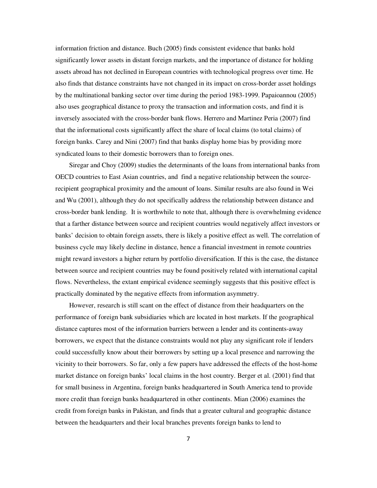information friction and distance. Buch (2005) finds consistent evidence that banks hold significantly lower assets in distant foreign markets, and the importance of distance for holding assets abroad has not declined in European countries with technological progress over time. He also finds that distance constraints have not changed in its impact on cross-border asset holdings by the multinational banking sector over time during the period 1983-1999. Papaioannou (2005) also uses geographical distance to proxy the transaction and information costs, and find it is inversely associated with the cross-border bank flows. Herrero and Martinez Peria (2007) find that the informational costs significantly affect the share of local claims (to total claims) of foreign banks. Carey and Nini (2007) find that banks display home bias by providing more syndicated loans to their domestic borrowers than to foreign ones.

Siregar and Choy (2009) studies the determinants of the loans from international banks from OECD countries to East Asian countries, and find a negative relationship between the sourcerecipient geographical proximity and the amount of loans. Similar results are also found in Wei and Wu (2001), although they do not specifically address the relationship between distance and cross-border bank lending. It is worthwhile to note that, although there is overwhelming evidence that a farther distance between source and recipient countries would negatively affect investors or banks' decision to obtain foreign assets, there is likely a positive effect as well. The correlation of business cycle may likely decline in distance, hence a financial investment in remote countries might reward investors a higher return by portfolio diversification. If this is the case, the distance between source and recipient countries may be found positively related with international capital flows. Nevertheless, the extant empirical evidence seemingly suggests that this positive effect is practically dominated by the negative effects from information asymmetry.

However, research is still scant on the effect of distance from their headquarters on the performance of foreign bank subsidiaries which are located in host markets. If the geographical distance captures most of the information barriers between a lender and its continents-away borrowers, we expect that the distance constraints would not play any significant role if lenders could successfully know about their borrowers by setting up a local presence and narrowing the vicinity to their borrowers. So far, only a few papers have addressed the effects of the host-home market distance on foreign banks' local claims in the host country. Berger et al. (2001) find that for small business in Argentina, foreign banks headquartered in South America tend to provide more credit than foreign banks headquartered in other continents. Mian (2006) examines the credit from foreign banks in Pakistan, and finds that a greater cultural and geographic distance between the headquarters and their local branches prevents foreign banks to lend to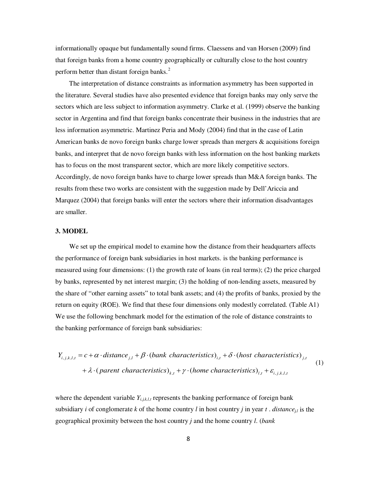informationally opaque but fundamentally sound firms. Claessens and van Horsen (2009) find that foreign banks from a home country geographically or culturally close to the host country perform better than distant foreign banks.<sup>[2](#page-42-2)</sup>

The interpretation of distance constraints as information asymmetry has been supported in the literature. Several studies have also presented evidence that foreign banks may only serve the sectors which are less subject to information asymmetry. Clarke et al. (1999) observe the banking sector in Argentina and find that foreign banks concentrate their business in the industries that are less information asymmetric. Martinez Peria and Mody (2004) find that in the case of Latin American banks de novo foreign banks charge lower spreads than mergers & acquisitions foreign banks, and interpret that de novo foreign banks with less information on the host banking markets has to focus on the most transparent sector, which are more likely competitive sectors. Accordingly, de novo foreign banks have to charge lower spreads than M&A foreign banks. The results from these two works are consistent with the suggestion made by Dell'Ariccia and Marquez (2004) that foreign banks will enter the sectors where their information disadvantages are smaller.

#### **3. MODEL**

We set up the empirical model to examine how the distance from their headquarters affects the performance of foreign bank subsidiaries in host markets. is the banking performance is measured using four dimensions: (1) the growth rate of loans (in real terms); (2) the price charged by banks, represented by net interest margin; (3) the holding of non-lending assets, measured by the share of "other earning assets" to total bank assets; and (4) the profits of banks, proxied by the return on equity (ROE). We find that these four dimensions only modestly correlated. (Table A1) We use the following benchmark model for the estimation of the role of distance constraints to the banking performance of foreign bank subsidiaries:

$$
Y_{i,j,k,l,t} = c + \alpha \cdot distance_{j,l} + \beta \cdot (bank\ characteristics)_{i,t} + \delta \cdot (host\ characteristics)_{j,t}
$$
  
+  $\lambda \cdot (parent\ characteristics)_{k,t} + \gamma \cdot (home\ characteristics)_{l,t} + \varepsilon_{i,j,k,l,t}$  (1)

where the dependent variable  $Y_{i,j,k,l,t}$  represents the banking performance of foreign bank subsidiary *i* of conglomerate *k* of the home country *l* in host country *j* in year *t* . *distance*<sub>*il*</sub> is the geographical proximity between the host country *j* and the home country *l*. (*bank*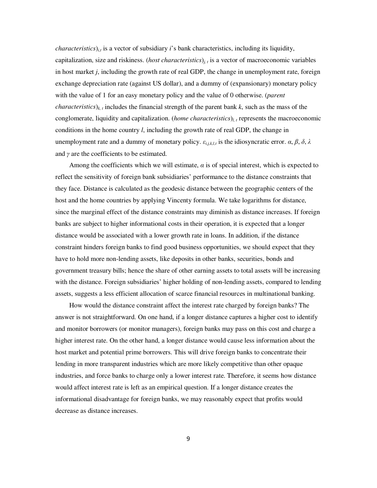*characteristics*)<sub>*it*</sub> is a vector of subsidiary *i*'s bank characteristics, including its liquidity, capitalization, size and riskiness. (*host characteristics*)*j, t* is a vector of macroeconomic variables in host market *j*, including the growth rate of real GDP, the change in unemployment rate, foreign exchange depreciation rate (against US dollar), and a dummy of (expansionary) monetary policy with the value of 1 for an easy monetary policy and the value of 0 otherwise. (*parent characteristics*) $k<sub>t</sub>$  includes the financial strength of the parent bank *k*, such as the mass of the conglomerate, liquidity and capitalization. (*home characteristics*)*l, t* represents the macroeconomic conditions in the home country *l*, including the growth rate of real GDP, the change in unemployment rate and a dummy of monetary policy.  $\varepsilon_{i,j,k,l,t}$  is the idiosyncratic error.  $\alpha, \beta, \delta, \lambda$ and *γ* are the coefficients to be estimated.

Among the coefficients which we will estimate, *α* is of special interest, which is expected to reflect the sensitivity of foreign bank subsidiaries' performance to the distance constraints that they face. Distance is calculated as the geodesic distance between the geographic centers of the host and the home countries by applying Vincenty formula. We take logarithms for distance, since the marginal effect of the distance constraints may diminish as distance increases. If foreign banks are subject to higher informational costs in their operation, it is expected that a longer distance would be associated with a lower growth rate in loans. In addition, if the distance constraint hinders foreign banks to find good business opportunities, we should expect that they have to hold more non-lending assets, like deposits in other banks, securities, bonds and government treasury bills; hence the share of other earning assets to total assets will be increasing with the distance. Foreign subsidiaries' higher holding of non-lending assets, compared to lending assets, suggests a less efficient allocation of scarce financial resources in multinational banking.

How would the distance constraint affect the interest rate charged by foreign banks? The answer is not straightforward. On one hand, if a longer distance captures a higher cost to identify and monitor borrowers (or monitor managers), foreign banks may pass on this cost and charge a higher interest rate. On the other hand, a longer distance would cause less information about the host market and potential prime borrowers. This will drive foreign banks to concentrate their lending in more transparent industries which are more likely competitive than other opaque industries, and force banks to charge only a lower interest rate. Therefore, it seems how distance would affect interest rate is left as an empirical question. If a longer distance creates the informational disadvantage for foreign banks, we may reasonably expect that profits would decrease as distance increases.

9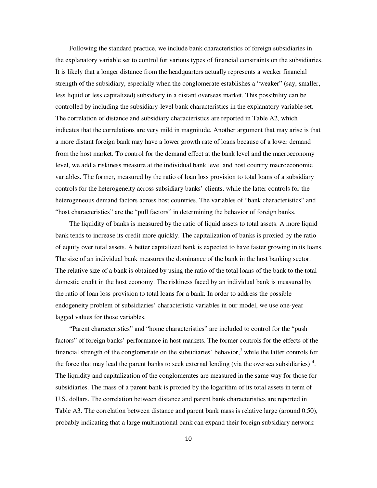Following the standard practice, we include bank characteristics of foreign subsidiaries in the explanatory variable set to control for various types of financial constraints on the subsidiaries. It is likely that a longer distance from the headquarters actually represents a weaker financial strength of the subsidiary, especially when the conglomerate establishes a "weaker" (say, smaller, less liquid or less capitalized) subsidiary in a distant overseas market. This possibility can be controlled by including the subsidiary-level bank characteristics in the explanatory variable set. The correlation of distance and subsidiary characteristics are reported in Table A2, which indicates that the correlations are very mild in magnitude. Another argument that may arise is that a more distant foreign bank may have a lower growth rate of loans because of a lower demand from the host market. To control for the demand effect at the bank level and the macroeconomy level, we add a riskiness measure at the individual bank level and host country macroeconomic variables. The former, measured by the ratio of loan loss provision to total loans of a subsidiary controls for the heterogeneity across subsidiary banks' clients, while the latter controls for the heterogeneous demand factors across host countries. The variables of "bank characteristics" and "host characteristics" are the "pull factors" in determining the behavior of foreign banks.

The liquidity of banks is measured by the ratio of liquid assets to total assets. A more liquid bank tends to increase its credit more quickly. The capitalization of banks is proxied by the ratio of equity over total assets. A better capitalized bank is expected to have faster growing in its loans. The size of an individual bank measures the dominance of the bank in the host banking sector. The relative size of a bank is obtained by using the ratio of the total loans of the bank to the total domestic credit in the host economy. The riskiness faced by an individual bank is measured by the ratio of loan loss provision to total loans for a bank. In order to address the possible endogeneity problem of subsidiaries' characteristic variables in our model, we use one-year lagged values for those variables.

"Parent characteristics" and "home characteristics" are included to control for the "push factors" of foreign banks' performance in host markets. The former controls for the effects of the financial strength of the conglomerate on the subsidiaries' behavior, $3$  while the latter controls for the force that may lead the parent banks to seek external lending (via the oversea subsidiaries)  $4$ . The liquidity and capitalization of the conglomerates are measured in the same way for those for subsidiaries. The mass of a parent bank is proxied by the logarithm of its total assets in term of U.S. dollars. The correlation between distance and parent bank characteristics are reported in Table A3. The correlation between distance and parent bank mass is relative large (around 0.50), probably indicating that a large multinational bank can expand their foreign subsidiary network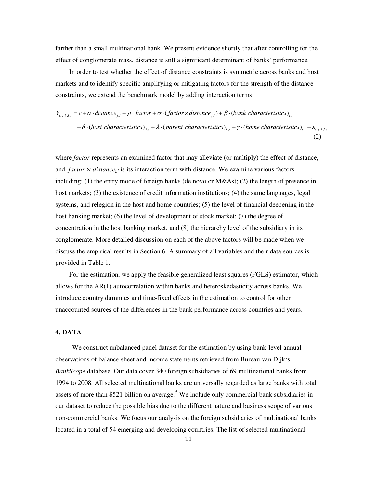farther than a small multinational bank. We present evidence shortly that after controlling for the effect of conglomerate mass, distance is still a significant determinant of banks' performance.

In order to test whether the effect of distance constraints is symmetric across banks and host markets and to identify specific amplifying or mitigating factors for the strength of the distance constraints, we extend the benchmark model by adding interaction terms:

 $Y_{i,j,k,l,t} = c + \alpha \cdot distance_{j,l} + \rho \cdot factor + \sigma \cdot (factor \times distance_{j,l}) + \beta \cdot (bank characteristics)_{i,t}$  $+\delta\cdot$ (host characteristics)<sub>j,t</sub> +  $\lambda\cdot$ (parent characteristics)<sub>k,t</sub> +  $\gamma\cdot$ (home characteristics)<sub>l,t</sub> +  $\varepsilon_{i,j,k,l,t}$ (2)

where *factor* represents an examined factor that may alleviate (or multiply) the effect of distance, and *factor*  $\times$  *distance*<sub>*i,l*</sub> is its interaction term with distance. We examine various factors including: (1) the entry mode of foreign banks (de novo or M&As); (2) the length of presence in host markets; (3) the existence of credit information institutions; (4) the same languages, legal systems, and relegion in the host and home countries; (5) the level of financial deepening in the host banking market; (6) the level of development of stock market; (7) the degree of concentration in the host banking market, and (8) the hierarchy level of the subsidiary in its conglomerate. More detailed discussion on each of the above factors will be made when we discuss the empirical results in Section 6. A summary of all variables and their data sources is provided in Table 1.

For the estimation, we apply the feasible generalized least squares (FGLS) estimator, which allows for the  $AR(1)$  autocorrelation within banks and heteroskedasticity across banks. We introduce country dummies and time-fixed effects in the estimation to control for other unaccounted sources of the differences in the bank performance across countries and years.

### **4. DATA**

We construct unbalanced panel dataset for the estimation by using bank-level annual observations of balance sheet and income statements retrieved from Bureau van Dijk's *BankScope* database. Our data cover 340 foreign subsidiaries of 69 multinational banks from 1994 to 2008. All selected multinational banks are universally regarded as large banks with total assets of more than \$[5](#page-42-5)21 billion on average.<sup>5</sup> We include only commercial bank subsidiaries in our dataset to reduce the possible bias due to the different nature and business scope of various non-commercial banks. We focus our analysis on the foreign subsidiaries of multinational banks located in a total of 54 emerging and developing countries. The list of selected multinational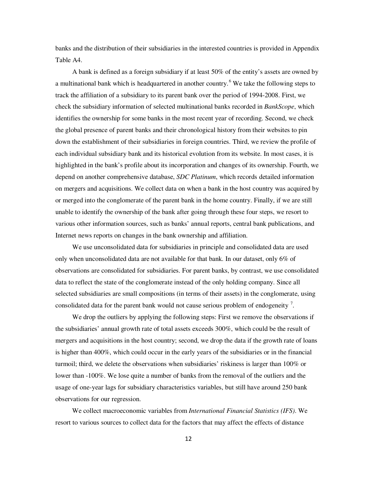banks and the distribution of their subsidiaries in the interested countries is provided in Appendix Table A4.

A bank is defined as a foreign subsidiary if at least 50% of the entity's assets are owned by a multinational bank which is headquartered in another country.<sup>[6](#page-42-6)</sup> We take the following steps to track the affiliation of a subsidiary to its parent bank over the period of 1994-2008. First, we check the subsidiary information of selected multinational banks recorded in *BankScope*, which identifies the ownership for some banks in the most recent year of recording. Second, we check the global presence of parent banks and their chronological history from their websites to pin down the establishment of their subsidiaries in foreign countries. Third, we review the profile of each individual subsidiary bank and its historical evolution from its website. In most cases, it is highlighted in the bank's profile about its incorporation and changes of its ownership. Fourth, we depend on another comprehensive database, *SDC Platinum*, which records detailed information on mergers and acquisitions. We collect data on when a bank in the host country was acquired by or merged into the conglomerate of the parent bank in the home country. Finally, if we are still unable to identify the ownership of the bank after going through these four steps, we resort to various other information sources, such as banks' annual reports, central bank publications, and Internet news reports on changes in the bank ownership and affiliation.

We use unconsolidated data for subsidiaries in principle and consolidated data are used only when unconsolidated data are not available for that bank. In our dataset, only 6% of observations are consolidated for subsidiaries. For parent banks, by contrast, we use consolidated data to reflect the state of the conglomerate instead of the only holding company. Since all selected subsidiaries are small compositions (in terms of their assets) in the conglomerate, using consolidated data for the parent bank would not cause serious problem of endogeneity  $\frac{7}{1}$  $\frac{7}{1}$  $\frac{7}{1}$ .

We drop the outliers by applying the following steps: First we remove the observations if the subsidiaries' annual growth rate of total assets exceeds 300%, which could be the result of mergers and acquisitions in the host country; second, we drop the data if the growth rate of loans is higher than 400%, which could occur in the early years of the subsidiaries or in the financial turmoil; third, we delete the observations when subsidiaries' riskiness is larger than 100% or lower than -100%. We lose quite a number of banks from the removal of the outliers and the usage of one-year lags for subsidiary characteristics variables, but still have around 250 bank observations for our regression.

We collect macroeconomic variables from *International Financial Statistics (IFS)*. We resort to various sources to collect data for the factors that may affect the effects of distance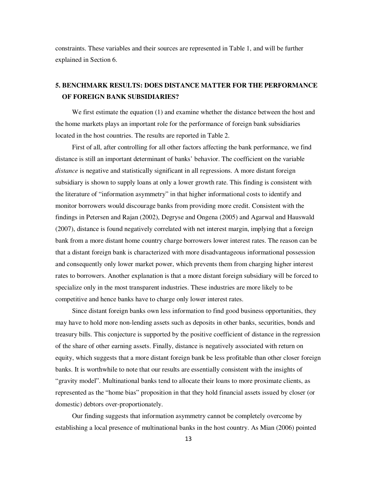constraints. These variables and their sources are represented in Table 1, and will be further explained in Section 6.

# **5. BENCHMARK RESULTS: DOES DISTANCE MATTER FOR THE PERFORMANCE OF FOREIGN BANK SUBSIDIARIES?**

We first estimate the equation (1) and examine whether the distance between the host and the home markets plays an important role for the performance of foreign bank subsidiaries located in the host countries. The results are reported in Table 2.

First of all, after controlling for all other factors affecting the bank performance, we find distance is still an important determinant of banks' behavior. The coefficient on the variable *distance* is negative and statistically significant in all regressions. A more distant foreign subsidiary is shown to supply loans at only a lower growth rate. This finding is consistent with the literature of "information asymmetry" in that higher informational costs to identify and monitor borrowers would discourage banks from providing more credit. Consistent with the findings in Petersen and Rajan (2002), Degryse and Ongena (2005) and Agarwal and Hauswald (2007), distance is found negatively correlated with net interest margin, implying that a foreign bank from a more distant home country charge borrowers lower interest rates. The reason can be that a distant foreign bank is characterized with more disadvantageous informational possession and consequently only lower market power, which prevents them from charging higher interest rates to borrowers. Another explanation is that a more distant foreign subsidiary will be forced to specialize only in the most transparent industries. These industries are more likely to be competitive and hence banks have to charge only lower interest rates.

Since distant foreign banks own less information to find good business opportunities, they may have to hold more non-lending assets such as deposits in other banks, securities, bonds and treasury bills. This conjecture is supported by the positive coefficient of distance in the regression of the share of other earning assets. Finally, distance is negatively associated with return on equity, which suggests that a more distant foreign bank be less profitable than other closer foreign banks. It is worthwhile to note that our results are essentially consistent with the insights of "gravity model". Multinational banks tend to allocate their loans to more proximate clients, as represented as the "home bias" proposition in that they hold financial assets issued by closer (or domestic) debtors over-proportionately.

Our finding suggests that information asymmetry cannot be completely overcome by establishing a local presence of multinational banks in the host country. As Mian (2006) pointed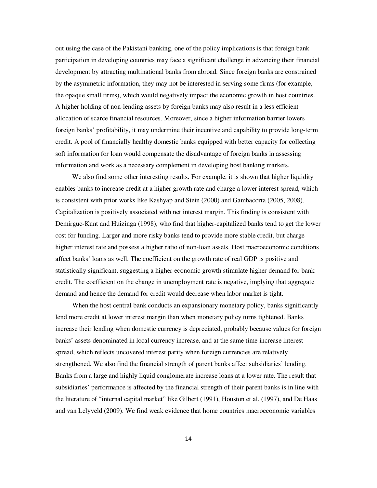out using the case of the Pakistani banking, one of the policy implications is that foreign bank participation in developing countries may face a significant challenge in advancing their financial development by attracting multinational banks from abroad. Since foreign banks are constrained by the asymmetric information, they may not be interested in serving some firms (for example, the opaque small firms), which would negatively impact the economic growth in host countries. A higher holding of non-lending assets by foreign banks may also result in a less efficient allocation of scarce financial resources. Moreover, since a higher information barrier lowers foreign banks' profitability, it may undermine their incentive and capability to provide long-term credit. A pool of financially healthy domestic banks equipped with better capacity for collecting soft information for loan would compensate the disadvantage of foreign banks in assessing information and work as a necessary complement in developing host banking markets.

We also find some other interesting results. For example, it is shown that higher liquidity enables banks to increase credit at a higher growth rate and charge a lower interest spread, which is consistent with prior works like Kashyap and Stein (2000) and Gambacorta (2005, 2008). Capitalization is positively associated with net interest margin. This finding is consistent with Demirguc-Kunt and Huizinga (1998), who find that higher-capitalized banks tend to get the lower cost for funding. Larger and more risky banks tend to provide more stable credit, but charge higher interest rate and possess a higher ratio of non-loan assets. Host macroeconomic conditions affect banks' loans as well. The coefficient on the growth rate of real GDP is positive and statistically significant, suggesting a higher economic growth stimulate higher demand for bank credit. The coefficient on the change in unemployment rate is negative, implying that aggregate demand and hence the demand for credit would decrease when labor market is tight.

When the host central bank conducts an expansionary monetary policy, banks significantly lend more credit at lower interest margin than when monetary policy turns tightened. Banks increase their lending when domestic currency is depreciated, probably because values for foreign banks' assets denominated in local currency increase, and at the same time increase interest spread, which reflects uncovered interest parity when foreign currencies are relatively strengthened. We also find the financial strength of parent banks affect subsidiaries' lending. Banks from a large and highly liquid conglomerate increase loans at a lower rate. The result that subsidiaries' performance is affected by the financial strength of their parent banks is in line with the literature of "internal capital market" like Gilbert (1991), Houston et al. (1997), and De Haas and van Lelyveld (2009). We find weak evidence that home countries macroeconomic variables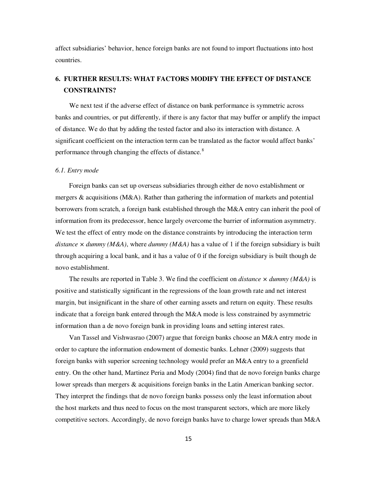affect subsidiaries' behavior, hence foreign banks are not found to import fluctuations into host countries.

# **6. FURTHER RESULTS: WHAT FACTORS MODIFY THE EFFECT OF DISTANCE CONSTRAINTS?**

We next test if the adverse effect of distance on bank performance is symmetric across banks and countries, or put differently, if there is any factor that may buffer or amplify the impact of distance. We do that by adding the tested factor and also its interaction with distance. A significant coefficient on the interaction term can be translated as the factor would affect banks' performance through changing the effects of distance.<sup>[8](#page-42-8)</sup>

#### *6.1. Entry mode*

Foreign banks can set up overseas subsidiaries through either de novo establishment or mergers  $\&$  acquisitions (M $\&$ A). Rather than gathering the information of markets and potential borrowers from scratch, a foreign bank established through the M&A entry can inherit the pool of information from its predecessor, hence largely overcome the barrier of information asymmetry. We test the effect of entry mode on the distance constraints by introducing the interaction term *distance*  $\times$  *dummy (M&A)*, where *dummy (M&A)* has a value of 1 if the foreign subsidiary is built through acquiring a local bank, and it has a value of 0 if the foreign subsidiary is built though de novo establishment.

The results are reported in Table 3. We find the coefficient on *distance × dummy (M&A)* is positive and statistically significant in the regressions of the loan growth rate and net interest margin, but insignificant in the share of other earning assets and return on equity. These results indicate that a foreign bank entered through the M&A mode is less constrained by asymmetric information than a de novo foreign bank in providing loans and setting interest rates.

Van Tassel and Vishwasrao (2007) argue that foreign banks choose an M&A entry mode in order to capture the information endowment of domestic banks. Lehner (2009) suggests that foreign banks with superior screening technology would prefer an M&A entry to a greenfield entry. On the other hand, Martinez Peria and Mody (2004) find that de novo foreign banks charge lower spreads than mergers & acquisitions foreign banks in the Latin American banking sector. They interpret the findings that de novo foreign banks possess only the least information about the host markets and thus need to focus on the most transparent sectors, which are more likely competitive sectors. Accordingly, de novo foreign banks have to charge lower spreads than M&A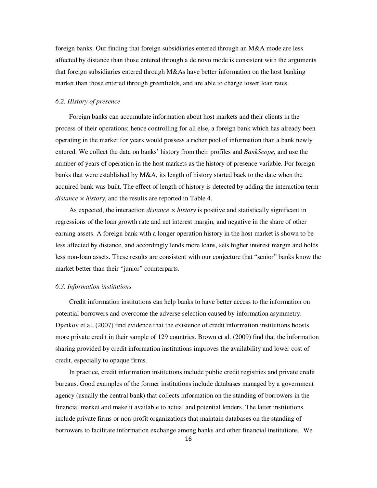foreign banks. Our finding that foreign subsidiaries entered through an M&A mode are less affected by distance than those entered through a de novo mode is consistent with the arguments that foreign subsidiaries entered through M&As have better information on the host banking market than those entered through greenfields, and are able to charge lower loan rates.

#### *6.2. History of presence*

Foreign banks can accumulate information about host markets and their clients in the process of their operations; hence controlling for all else, a foreign bank which has already been operating in the market for years would possess a richer pool of information than a bank newly entered. We collect the data on banks' history from their profiles and *BankScope*, and use the number of years of operation in the host markets as the history of presence variable. For foreign banks that were established by M&A, its length of history started back to the date when the acquired bank was built. The effect of length of history is detected by adding the interaction term *distance × history*, and the results are reported in Table 4.

As expected, the interaction *distance × history* is positive and statistically significant in regressions of the loan growth rate and net interest margin, and negative in the share of other earning assets. A foreign bank with a longer operation history in the host market is shown to be less affected by distance, and accordingly lends more loans, sets higher interest margin and holds less non-loan assets. These results are consistent with our conjecture that "senior" banks know the market better than their "junior" counterparts.

#### *6.3. Information institutions*

Credit information institutions can help banks to have better access to the information on potential borrowers and overcome the adverse selection caused by information asymmetry. Djankov et al. (2007) find evidence that the existence of credit information institutions boosts more private credit in their sample of 129 countries. Brown et al. (2009) find that the information sharing provided by credit information institutions improves the availability and lower cost of credit, especially to opaque firms.

In practice, credit information institutions include public credit registries and private credit bureaus. Good examples of the former institutions include databases managed by a government agency (usually the central bank) that collects information on the standing of borrowers in the financial market and make it available to actual and potential lenders. The latter institutions include private firms or non-profit organizations that maintain databases on the standing of borrowers to facilitate information exchange among banks and other financial institutions. We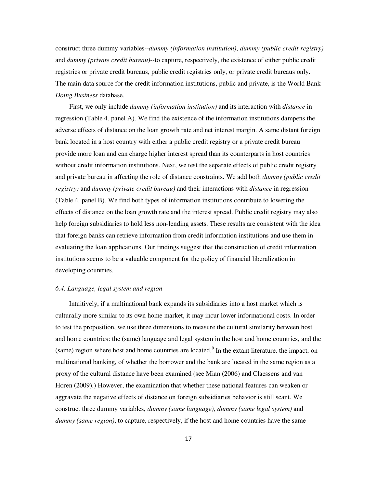construct three dummy variables--*dummy (information institution)*, *dummy (public credit registry)* and *dummy (private credit bureau)*--to capture, respectively, the existence of either public credit registries or private credit bureaus, public credit registries only, or private credit bureaus only. The main data source for the credit information institutions, public and private, is the World Bank *Doing Business* database.

First, we only include *dummy (information institution)* and its interaction with *distance* in regression (Table 4. panel A). We find the existence of the information institutions dampens the adverse effects of distance on the loan growth rate and net interest margin. A same distant foreign bank located in a host country with either a public credit registry or a private credit bureau provide more loan and can charge higher interest spread than its counterparts in host countries without credit information institutions. Next, we test the separate effects of public credit registry and private bureau in affecting the role of distance constraints. We add both *dummy (public credit registry)* and *dummy (private credit bureau)* and their interactions with *distance* in regression (Table 4. panel B). We find both types of information institutions contribute to lowering the effects of distance on the loan growth rate and the interest spread. Public credit registry may also help foreign subsidiaries to hold less non-lending assets. These results are consistent with the idea that foreign banks can retrieve information from credit information institutions and use them in evaluating the loan applications. Our findings suggest that the construction of credit information institutions seems to be a valuable component for the policy of financial liberalization in developing countries.

#### *6.4. Language, legal system and region*

Intuitively, if a multinational bank expands its subsidiaries into a host market which is culturally more similar to its own home market, it may incur lower informational costs. In order to test the proposition, we use three dimensions to measure the cultural similarity between host and home countries: the (same) language and legal system in the host and home countries, and the (same) region where host and home countries are located.<sup>[9](#page-42-9)</sup> In the extant literature, the impact, on multinational banking, of whether the borrower and the bank are located in the same region as a proxy of the cultural distance have been examined (see Mian (2006) and Claessens and van Horen (2009).) However, the examination that whether these national features can weaken or aggravate the negative effects of distance on foreign subsidiaries behavior is still scant. We construct three dummy variables, *dummy (same language)*, *dummy (same legal system)* and *dummy (same region)*, to capture, respectively, if the host and home countries have the same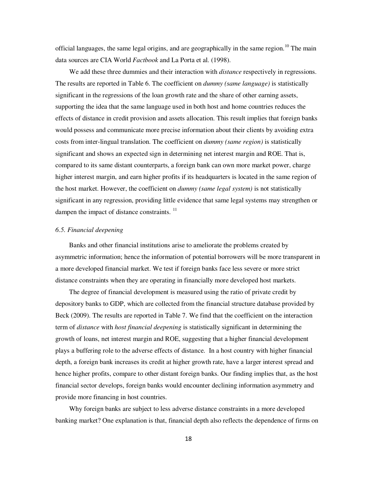official languages, the same legal origins, and are geographically in the same region.<sup>[10](#page-42-10)</sup> The main data sources are CIA World *Factbook* and La Porta et al. (1998).

We add these three dummies and their interaction with *distance* respectively in regressions. The results are reported in Table 6. The coefficient on *dummy (same language)* is statistically significant in the regressions of the loan growth rate and the share of other earning assets, supporting the idea that the same language used in both host and home countries reduces the effects of distance in credit provision and assets allocation. This result implies that foreign banks would possess and communicate more precise information about their clients by avoiding extra costs from inter-lingual translation. The coefficient on *dummy (same region)* is statistically significant and shows an expected sign in determining net interest margin and ROE. That is, compared to its same distant counterparts, a foreign bank can own more market power, charge higher interest margin, and earn higher profits if its headquarters is located in the same region of the host market. However, the coefficient on *dummy (same legal system)* is not statistically significant in any regression, providing little evidence that same legal systems may strengthen or dampen the impact of distance constraints.<sup>[11](#page-42-11)</sup>

#### *6.5. Financial deepening*

Banks and other financial institutions arise to ameliorate the problems created by asymmetric information; hence the information of potential borrowers will be more transparent in a more developed financial market. We test if foreign banks face less severe or more strict distance constraints when they are operating in financially more developed host markets.

The degree of financial development is measured using the ratio of private credit by depository banks to GDP, which are collected from the financial structure database provided by Beck (2009). The results are reported in Table 7. We find that the coefficient on the interaction term of *distance* with *host financial deepening* is statistically significant in determining the growth of loans, net interest margin and ROE, suggesting that a higher financial development plays a buffering role to the adverse effects of distance. In a host country with higher financial depth, a foreign bank increases its credit at higher growth rate, have a larger interest spread and hence higher profits, compare to other distant foreign banks. Our finding implies that, as the host financial sector develops, foreign banks would encounter declining information asymmetry and provide more financing in host countries.

Why foreign banks are subject to less adverse distance constraints in a more developed banking market? One explanation is that, financial depth also reflects the dependence of firms on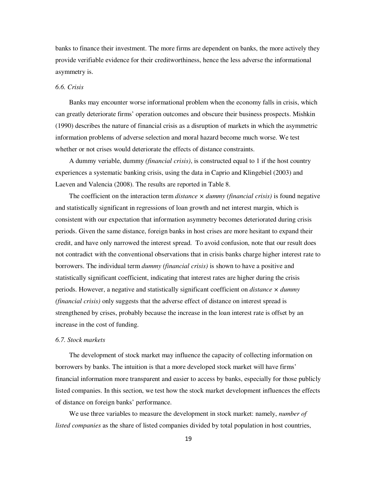banks to finance their investment. The more firms are dependent on banks, the more actively they provide verifiable evidence for their creditworthiness, hence the less adverse the informational asymmetry is.

#### *6.6. Crisis*

Banks may encounter worse informational problem when the economy falls in crisis, which can greatly deteriorate firms' operation outcomes and obscure their business prospects. Mishkin (1990) describes the nature of financial crisis as a disruption of markets in which the asymmetric information problems of adverse selection and moral hazard become much worse. We test whether or not crises would deteriorate the effects of distance constraints.

A dummy veriable, dummy *(financial crisis)*, is constructed equal to 1 if the host country experiences a systematic banking crisis, using the data in Caprio and Klingebiel (2003) and Laeven and Valencia (2008). The results are reported in Table 8.

The coefficient on the interaction term *distance × dummy (financial crisis)* is found negative and statistically significant in regressions of loan growth and net interest margin, which is consistent with our expectation that information asymmetry becomes deteriorated during crisis periods. Given the same distance, foreign banks in host crises are more hesitant to expand their credit, and have only narrowed the interest spread. To avoid confusion, note that our result does not contradict with the conventional observations that in crisis banks charge higher interest rate to borrowers. The individual term *dummy (financial crisis)* is shown to have a positive and statistically significant coefficient, indicating that interest rates are higher during the crisis periods. However, a negative and statistically significant coefficient on *distance × dummy (financial crisis)* only suggests that the adverse effect of distance on interest spread is strengthened by crises, probably because the increase in the loan interest rate is offset by an increase in the cost of funding.

#### *6.7. Stock markets*

The development of stock market may influence the capacity of collecting information on borrowers by banks. The intuition is that a more developed stock market will have firms' financial information more transparent and easier to access by banks, especially for those publicly listed companies. In this section, we test how the stock market development influences the effects of distance on foreign banks' performance.

We use three variables to measure the development in stock market: namely, *number of listed companies* as the share of listed companies divided by total population in host countries,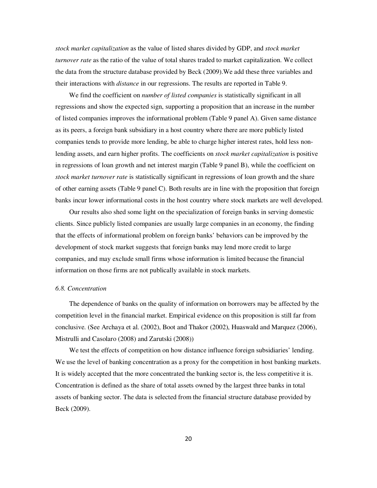*stock market capitalization* as the value of listed shares divided by GDP, and *stock market turnover rate* as the ratio of the value of total shares traded to market capitalization. We collect the data from the structure database provided by Beck (2009).We add these three variables and their interactions with *distance* in our regressions. The results are reported in Table 9.

We find the coefficient on *number of listed companies* is statistically significant in all regressions and show the expected sign, supporting a proposition that an increase in the number of listed companies improves the informational problem (Table 9 panel A). Given same distance as its peers, a foreign bank subsidiary in a host country where there are more publicly listed companies tends to provide more lending, be able to charge higher interest rates, hold less nonlending assets, and earn higher profits. The coefficients on *stock market capitalization* is positive in regressions of loan growth and net interest margin (Table 9 panel B), while the coefficient on *stock market turnover rate* is statistically significant in regressions of loan growth and the share of other earning assets (Table 9 panel C). Both results are in line with the proposition that foreign banks incur lower informational costs in the host country where stock markets are well developed.

Our results also shed some light on the specialization of foreign banks in serving domestic clients. Since publicly listed companies are usually large companies in an economy, the finding that the effects of informational problem on foreign banks' behaviors can be improved by the development of stock market suggests that foreign banks may lend more credit to large companies, and may exclude small firms whose information is limited because the financial information on those firms are not publically available in stock markets.

#### *6.8. Concentration*

The dependence of banks on the quality of information on borrowers may be affected by the competition level in the financial market. Empirical evidence on this proposition is still far from conclusive. (See Archaya et al. (2002), Boot and Thakor (2002), Huaswald and Marquez (2006), Mistrulli and Casolaro (2008) and Zarutski (2008))

We test the effects of competition on how distance influence foreign subsidiaries' lending. We use the level of banking concentration as a proxy for the competition in host banking markets. It is widely accepted that the more concentrated the banking sector is, the less competitive it is. Concentration is defined as the share of total assets owned by the largest three banks in total assets of banking sector. The data is selected from the financial structure database provided by Beck (2009).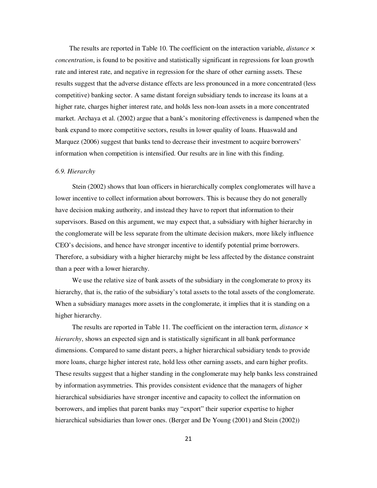The results are reported in Table 10. The coefficient on the interaction variable, *distance × concentration*, is found to be positive and statistically significant in regressions for loan growth rate and interest rate, and negative in regression for the share of other earning assets. These results suggest that the adverse distance effects are less pronounced in a more concentrated (less competitive) banking sector. A same distant foreign subsidiary tends to increase its loans at a higher rate, charges higher interest rate, and holds less non-loan assets in a more concentrated market. Archaya et al. (2002) argue that a bank's monitoring effectiveness is dampened when the bank expand to more competitive sectors, results in lower quality of loans. Huaswald and Marquez (2006) suggest that banks tend to decrease their investment to acquire borrowers' information when competition is intensified. Our results are in line with this finding.

#### *6.9. Hierarchy*

Stein (2002) shows that loan officers in hierarchically complex conglomerates will have a lower incentive to collect information about borrowers. This is because they do not generally have decision making authority, and instead they have to report that information to their supervisors. Based on this argument, we may expect that, a subsidiary with higher hierarchy in the conglomerate will be less separate from the ultimate decision makers, more likely influence CEO's decisions, and hence have stronger incentive to identify potential prime borrowers. Therefore, a subsidiary with a higher hierarchy might be less affected by the distance constraint than a peer with a lower hierarchy.

We use the relative size of bank assets of the subsidiary in the conglomerate to proxy its hierarchy, that is, the ratio of the subsidiary's total assets to the total assets of the conglomerate. When a subsidiary manages more assets in the conglomerate, it implies that it is standing on a higher hierarchy.

The results are reported in Table 11. The coefficient on the interaction term, *distance × hierarchy*, shows an expected sign and is statistically significant in all bank performance dimensions. Compared to same distant peers, a higher hierarchical subsidiary tends to provide more loans, charge higher interest rate, hold less other earning assets, and earn higher profits. These results suggest that a higher standing in the conglomerate may help banks less constrained by information asymmetries. This provides consistent evidence that the managers of higher hierarchical subsidiaries have stronger incentive and capacity to collect the information on borrowers, and implies that parent banks may "export" their superior expertise to higher hierarchical subsidiaries than lower ones. (Berger and De Young (2001) and Stein (2002))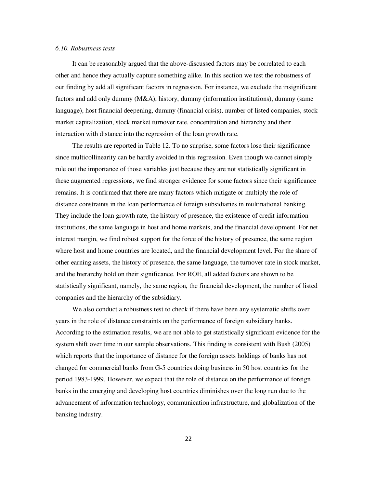#### *6.10. Robustness tests*

It can be reasonably argued that the above-discussed factors may be correlated to each other and hence they actually capture something alike. In this section we test the robustness of our finding by add all significant factors in regression. For instance, we exclude the insignificant factors and add only dummy (M&A), history, dummy (information institutions), dummy (same language), host financial deepening, dummy (financial crisis), number of listed companies, stock market capitalization, stock market turnover rate, concentration and hierarchy and their interaction with distance into the regression of the loan growth rate.

The results are reported in Table 12. To no surprise, some factors lose their significance since multicollinearity can be hardly avoided in this regression. Even though we cannot simply rule out the importance of those variables just because they are not statistically significant in these augmented regressions, we find stronger evidence for some factors since their significance remains. It is confirmed that there are many factors which mitigate or multiply the role of distance constraints in the loan performance of foreign subsidiaries in multinational banking. They include the loan growth rate, the history of presence, the existence of credit information institutions, the same language in host and home markets, and the financial development. For net interest margin, we find robust support for the force of the history of presence, the same region where host and home countries are located, and the financial development level. For the share of other earning assets, the history of presence, the same language, the turnover rate in stock market, and the hierarchy hold on their significance. For ROE, all added factors are shown to be statistically significant, namely, the same region, the financial development, the number of listed companies and the hierarchy of the subsidiary.

We also conduct a robustness test to check if there have been any systematic shifts over years in the role of distance constraints on the performance of foreign subsidiary banks. According to the estimation results, we are not able to get statistically significant evidence for the system shift over time in our sample observations. This finding is consistent with Bush (2005) which reports that the importance of distance for the foreign assets holdings of banks has not changed for commercial banks from G-5 countries doing business in 50 host countries for the period 1983-1999. However, we expect that the role of distance on the performance of foreign banks in the emerging and developing host countries diminishes over the long run due to the advancement of information technology, communication infrastructure, and globalization of the banking industry.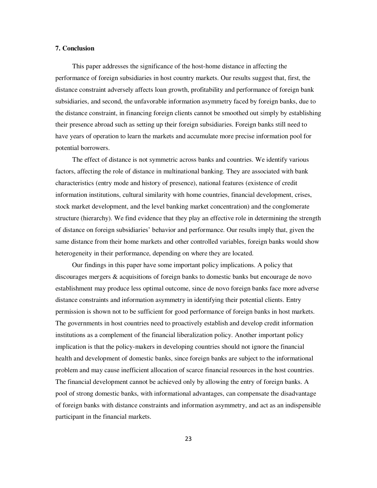#### **7. Conclusion**

This paper addresses the significance of the host-home distance in affecting the performance of foreign subsidiaries in host country markets. Our results suggest that, first, the distance constraint adversely affects loan growth, profitability and performance of foreign bank subsidiaries, and second, the unfavorable information asymmetry faced by foreign banks, due to the distance constraint, in financing foreign clients cannot be smoothed out simply by establishing their presence abroad such as setting up their foreign subsidiaries. Foreign banks still need to have years of operation to learn the markets and accumulate more precise information pool for potential borrowers.

The effect of distance is not symmetric across banks and countries. We identify various factors, affecting the role of distance in multinational banking. They are associated with bank characteristics (entry mode and history of presence), national features (existence of credit information institutions, cultural similarity with home countries, financial development, crises, stock market development, and the level banking market concentration) and the conglomerate structure (hierarchy). We find evidence that they play an effective role in determining the strength of distance on foreign subsidiaries' behavior and performance. Our results imply that, given the same distance from their home markets and other controlled variables, foreign banks would show heterogeneity in their performance, depending on where they are located.

Our findings in this paper have some important policy implications. A policy that discourages mergers & acquisitions of foreign banks to domestic banks but encourage de novo establishment may produce less optimal outcome, since de novo foreign banks face more adverse distance constraints and information asymmetry in identifying their potential clients. Entry permission is shown not to be sufficient for good performance of foreign banks in host markets. The governments in host countries need to proactively establish and develop credit information institutions as a complement of the financial liberalization policy. Another important policy implication is that the policy-makers in developing countries should not ignore the financial health and development of domestic banks, since foreign banks are subject to the informational problem and may cause inefficient allocation of scarce financial resources in the host countries. The financial development cannot be achieved only by allowing the entry of foreign banks. A pool of strong domestic banks, with informational advantages, can compensate the disadvantage of foreign banks with distance constraints and information asymmetry, and act as an indispensible participant in the financial markets.

23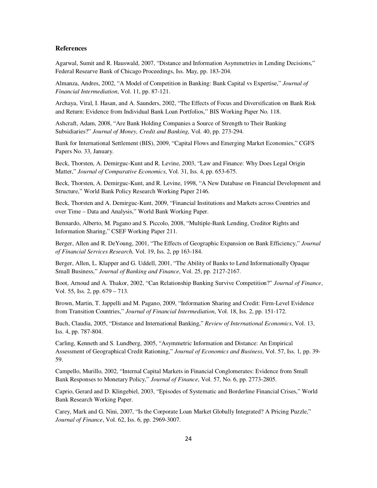#### **References**

Agarwal, Sumit and R. Hauswald, 2007, "Distance and Information Asymmetries in Lending Decisions," Federal Researve Bank of Chicago Proceedings, Iss. May, pp. 183-204.

Almanza, Andres, 2002, "A Model of Competition in Banking: Bank Capital vs Expertise," *Journal of Financial Intermediation*, Vol. 11, pp. 87-121.

Archaya, Viral, I. Hasan, and A. Saunders, 2002, "The Effects of Focus and Diversification on Bank Risk and Return: Evidence from Individual Bank Loan Portfolios," BIS Working Paper No. 118.

Ashcraft, Adam, 2008, "Are Bank Holding Companies a Source of Strength to Their Banking Subsidiaries?" *Journal of Money, Credit and Banking*, Vol. 40, pp. 273-294.

Bank for International Settlement (BIS), 2009, "Capital Flows and Emerging Market Economies," CGFS Papers No. 33, January.

Beck, Thorsten, A. Demirguc-Kunt and R. Levine, 2003, "Law and Finance: Why Does Legal Origin Matter," *Journal of Comparative Economics*, Vol. 31, Iss. 4, pp. 653-675.

Beck, Thorsten, A. Demirguc-Kunt, and R. Levine, 1998, "A New Database on Financial Development and Structure," World Bank Policy Research Working Paper 2146.

Beck, Thorsten and A. Demirguc-Kunt, 2009, "Financial Institutions and Markets across Countries and over Time – Data and Analysis," World Bank Working Paper.

Bennardo, Alberto, M. Pagano and S. Piccolo, 2008, "Multiple-Bank Lending, Creditor Rights and Information Sharing," CSEF Working Paper 211.

Berger, Allen and R. DeYoung, 2001, "The Effects of Geographic Expansion on Bank Efficiency," *Journal of Financial Services Research,* Vol. 19, Iss. 2, pp 163-184.

Berger, Allen, L. Klapper and G. Uddell, 2001, "The Ability of Banks to Lend Informationally Opaque Small Business," *Journal of Banking and Finance*, Vol. 25, pp. 2127-2167.

Boot, Arnoud and A. Thakor, 2002, "Can Relationship Banking Survive Competition?" *Journal of Finance*, Vol. 55, Iss. 2, pp. 679 – 713.

Brown, Martin, T. Jappelli and M. Pagano, 2009, "Information Sharing and Credit: Firm-Level Evidence from Transition Countries," *Journal of Financial Intermediation*, Vol. 18, Iss. 2, pp. 151-172.

Buch, Claudia, 2005, "Distance and International Banking," *Review of International Economics*, Vol. 13, Iss. 4, pp. 787-804.

Carling, Kenneth and S. Lundberg, 2005, "Asymmetric Information and Distance: An Empirical Assessment of Geographical Credit Rationing," *Journal of Economics and Business*, Vol. 57, Iss. 1, pp. 39- 59.

Campello, Murillo, 2002, "Internal Capital Markets in Financial Conglomerates: Evidence from Small Bank Responses to Monetary Policy," *Journal of Finance*, Vol. 57, No. 6, pp. 2773-2805.

Caprio, Gerard and D. Klingebiel, 2003, "Episodes of Systematic and Borderline Financial Crises," World Bank Research Working Paper.

Carey, Mark and G. Nini, 2007, "Is the Corporate Loan Market Globally Integrated? A Pricing Puzzle," *Journal of Finance*, Vol. 62, Iss. 6, pp. 2969-3007.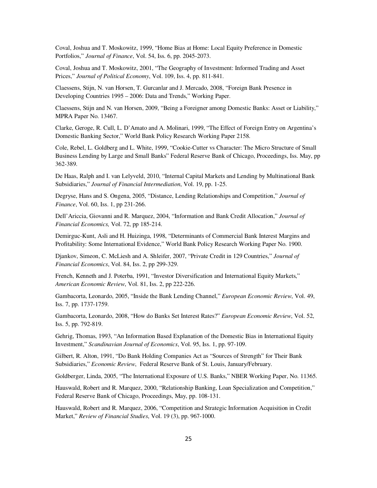Coval, Joshua and T. Moskowitz, 1999, "Home Bias at Home: Local Equity Preference in Domestic Portfolios," *Journal of Finance*, Vol. 54, Iss. 6, pp. 2045-2073.

Coval, Joshua and T. Moskowitz, 2001, "The Geography of Investment: Informed Trading and Asset Prices," *Journal of Political Economy*, Vol. 109, Iss. 4, pp. 811-841.

Claessens, Stijn, N. van Horsen, T. Gurcanlar and J. Mercado, 2008, "Foreign Bank Presence in Developing Countries 1995 – 2006: Data and Trends," Working Paper.

Claessens, Stijn and N. van Horsen, 2009, "Being a Foreigner among Domestic Banks: Asset or Liability," MPRA Paper No. 13467.

Clarke, Geroge, R. Cull, L. D'Amato and A. Molinari, 1999, "The Effect of Foreign Entry on Argentina's Domestic Banking Sector," World Bank Policy Research Working Paper 2158.

Cole, Rebel, L. Goldberg and L. White, 1999, "Cookie-Cutter vs Character: The Micro Structure of Small Business Lending by Large and Small Banks" Federal Reserve Bank of Chicago, Proceedings, Iss. May, pp 362-389.

De Haas, Ralph and I. van Lelyveld, 2010, "Internal Capital Markets and Lending by Multinational Bank Subsidiaries," *Journal of Financial Intermediation*, Vol. 19, pp. 1-25.

Degryse, Hans and S. Ongena, 2005, "Distance, Lending Relationships and Competition," *Journal of Finance*, Vol. 60, Iss. 1, pp 231-266.

Dell'Ariccia, Giovanni and R. Marquez, 2004, "Information and Bank Credit Allocation," *Journal of Financial Economics,* Vol. 72, pp 185-214.

Demirguc-Kunt, Asli and H. Huizinga, 1998, "Determinants of Commercial Bank Interest Margins and Profitability: Some International Evidence," World Bank Policy Research Working Paper No. 1900.

Djankov, Simeon, C. McLiesh and A. Shleifer, 2007, "Private Credit in 129 Countries," *Journal of Financial Economics*, Vol. 84, Iss. 2, pp 299-329.

French, Kenneth and J. Poterba, 1991, "Investor Diversification and International Equity Markets," *American Economic Review*, Vol. 81, Iss. 2, pp 222-226.

Gambacorta, Leonardo, 2005, "Inside the Bank Lending Channel," *European Economic Review*, Vol. 49, Iss. 7, pp. 1737-1759.

Gambacorta, Leonardo, 2008, "How do Banks Set Interest Rates?" *European Economic Review*, Vol. 52, Iss. 5, pp. 792-819.

Gehrig, Thomas, 1993, "An Information Based Explanation of the Domestic Bias in International Equity Investment," *Scandinavian Journal of Economics*, Vol. 95, Iss. 1, pp. 97-109.

Gilbert, R. Alton, 1991, "Do Bank Holding Companies Act as "Sources of Strength" for Their Bank Subsidiaries," *Economic Review*, Federal Reserve Bank of St. Louis, January/February.

Goldberger, Linda, 2005, "The International Exposure of U.S. Banks," NBER Working Paper, No. 11365.

Hauswald, Robert and R. Marquez, 2000, "Relationship Banking, Loan Specialization and Competition," Federal Reserve Bank of Chicago, Proceedings, May, pp. 108-131.

Hauswald, Robert and R. Marquez, 2006, "Competition and Strategic Information Acquisition in Credit Market," *Review of Financial Studies*, Vol. 19 (3), pp. 967-1000.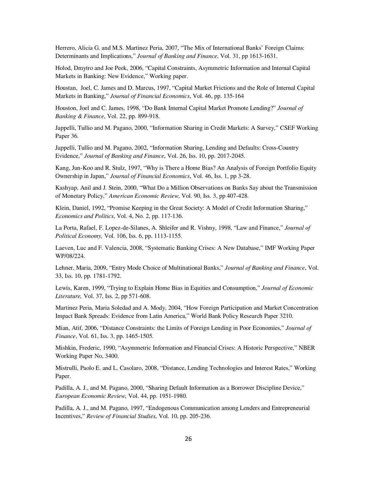Herrero, Alicia G. and M.S. Martinez Peria, 2007, "The Mix of International Banks' Foreign Claims: Determinants and Implications," *Journal of Banking and Finance*, Vol. 31, pp 1613-1631.

Holod, Dmytro and Joe Peek, 2006, "Capital Constraints, Asymmetric Information and Internal Capital Markets in Banking: New Evidence," Working paper.

Houstan, Joel, C. James and D. Marcus, 1997, "Capital Market Frictions and the Role of Internal Capital Markets in Banking," *Journal of Financial Economics*, Vol. 46, pp. 135-164

Houston, Joel and C. James, 1998, "Do Bank Internal Capital Market Promote Lending?" *Journal of Banking & Finance*, Vol. 22, pp. 899-918.

Jappelli, Tullio and M. Pagano, 2000, "Information Sharing in Credit Markets: A Survey," CSEF Working Paper 36.

Jappelli, Tullio and M. Pagano, 2002, "Information Sharing, Lending and Defaults: Cross-Country Evidence," *Journal of Banking and Finance*, Vol. 26, Iss. 10, pp. 2017-2045.

Kang, Jun-Koo and R. Stulz, 1997, "Why is There a Home Bias? An Analysis of Foreign Portfolio Equity Ownership in Japan," *Journal of Financial Economics*, Vol. 46, Iss. 1, pp 3-28.

Kashyap, Anil and J. Stein, 2000, "What Do a Million Observations on Banks Say about the Transmission of Monetary Policy," *American Economic Review*, Vol. 90, Iss. 3, pp 407-428.

Klein, Daniel, 1992, "Promise Keeping in the Great Society: A Model of Credit Information Sharing," *Economics and Politics*, Vol. 4, No. 2, pp. 117-136.

La Porta, Rafael, F. Lopez-de-Silanes, A. Shleifer and R. Vishny, 1998, "Law and Finance," *Journal of Political Economy,* Vol. 106, Iss. 6, pp. 1113-1155.

Laeven, Luc and F. Valencia, 2008, "Systematic Banking Crises: A New Database," IMF Working Paper WP/08/224.

Lehner, Maria, 2009, "Entry Mode Choice of Multinational Banks," *Journal of Banking and Finance*, Vol. 33, Iss. 10, pp. 1781-1792.

Lewis, Karen, 1999, "Trying to Explain Home Bias in Equities and Consumption," *Journal of Economic Literature,* Vol. 37, Iss. 2, pp 571-608.

Martinez Peria, Maria Soledad and A. Mody, 2004, "How Foreign Participation and Market Concentration Impact Bank Spreads: Evidence from Latin America," World Bank Policy Research Paper 3210.

Mian, Atif, 2006, "Distance Constraints: the Limits of Foreign Lending in Poor Economies," *Journal of Finance*, Vol. 61, Iss. 3, pp. 1465-1505.

Mishkin, Frederic, 1990, "Asymmetric Information and Financial Crises: A Historic Perspective," NBER Working Paper No, 3400.

Mistrulli, Paolo E. and L. Casolaro, 2008, "Distance, Lending Technologies and Interest Rates," Working Paper.

Padilla, A. J., and M. Pagano, 2000, "Sharing Default Information as a Borrower Discipline Device," *European Economic Review*, Vol. 44, pp. 1951-1980.

Padilla, A. J., and M. Pagano, 1997, "Endogenous Communication among Lenders and Entrepreneurial Incentives," *Review of Financial Studies*, Vol. 10, pp. 205-236.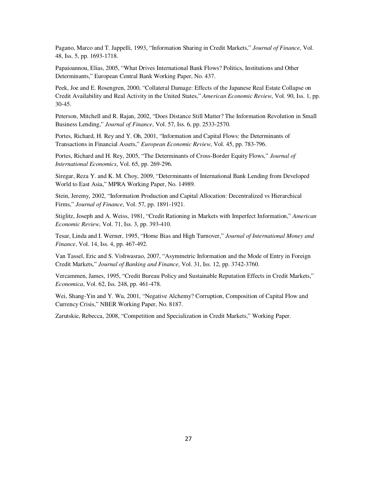Pagano, Marco and T. Jappelli, 1993, "Information Sharing in Credit Markets," *Journal of Finance*, Vol. 48, Iss. 5, pp. 1693-1718.

Papaioannou, Elias, 2005, "What Drives International Bank Flows? Politics, Institutions and Other Determinants," European Central Bank Working Paper, No. 437.

Peek, Joe and E. Rosengren, 2000, "Collateral Damage: Effects of the Japanese Real Estate Collapse on Credit Availability and Real Activity in the United States," *American Economic Review*, Vol. 90, Iss. 1, pp. 30-45.

Peterson, Mitchell and R. Rajan, 2002, "Does Distance Still Matter? The Information Revolution in Small Business Lending," *Journal of Finance*, Vol. 57, Iss. 6, pp. 2533-2570.

Portes, Richard, H. Rey and Y. Oh, 2001, "Information and Capital Flows: the Determinants of Transactions in Financial Assets," *European Economic Review*, Vol. 45, pp. 783-796.

Portes, Richard and H. Rey, 2005, "The Determinants of Cross-Border Equity Flows," *Journal of International Economics*, Vol. 65, pp. 269-296.

Siregar, Reza Y. and K. M. Choy, 2009, "Determinants of International Bank Lending from Developed World to East Asia," MPRA Working Paper, No. 14989.

Stein, Jeremy, 2002, "Information Production and Capital Allocation: Decentralized vs Hierarchical Firms," *Journal of Finance*, Vol. 57, pp. 1891-1921.

Stiglitz, Joseph and A. Weiss, 1981, "Credit Rationing in Markets with Imperfect Information," *American Economic Review*, Vol. 71, Iss. 3, pp. 393-410.

Tesar, Linda and I. Werner, 1995, "Home Bias and High Turnover," *Journal of International Money and Finance*, Vol. 14, Iss. 4, pp. 467-492.

Van Tassel, Eric and S. Vishwasrao, 2007, "Asymmetric Information and the Mode of Entry in Foreign Credit Markets," *Journal of Banking and Finance*, Vol. 31, Iss. 12, pp. 3742-3760.

Vercammen, James, 1995, "Credit Bureau Policy and Sustainable Reputation Effects in Credit Markets," *Economica*, Vol. 62, Iss. 248, pp. 461-478.

Wei, Shang-Yin and Y. Wu, 2001, "Negative Alchemy? Corruption, Composition of Capital Flow and Currency Crisis," NBER Working Paper, No. 8187.

Zarutskie, Rebecca, 2008, "Competition and Specialization in Credit Markets," Working Paper.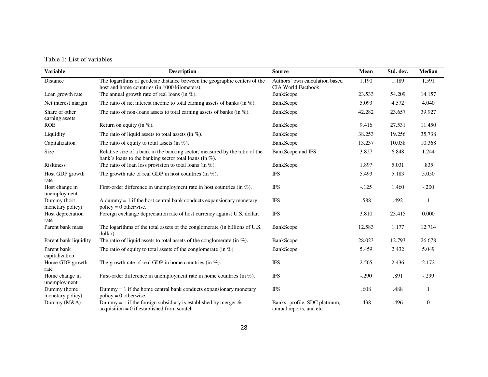Table 1: List of variables

| <b>Variable</b>                  | <b>Description</b>                                                                                                                        | <b>Source</b>                                               | Mean    | Std. dev. | <b>Median</b> |
|----------------------------------|-------------------------------------------------------------------------------------------------------------------------------------------|-------------------------------------------------------------|---------|-----------|---------------|
| Distance                         | The logarithms of geodesic distance between the geographic centers of the<br>host and home countries (in 1000 kilometers).                | Authors' own calculation based<br><b>CIA World Factbook</b> | 1.190   | 1.189     | 1.591         |
| Loan growth rate                 | The annual growth rate of real loans (in $\%$ ).                                                                                          | BankScope                                                   | 23.533  | 54.209    | 14.157        |
| Net interest margin              | The ratio of net interest income to total earning assets of banks (in $\%$ ).                                                             | BankScope                                                   | 5.093   | 4.572     | 4.040         |
| Share of other<br>earning assets | The ratio of non-loans assets to total earning assets of banks (in $\%$ ).                                                                | BankScope                                                   | 42.282  | 23.657    | 39.927        |
| <b>ROE</b>                       | Return on equity (in $\%$ ).                                                                                                              | BankScope                                                   | 9.416   | 27.531    | 11.450        |
| Liquidity                        | The ratio of liquid assets to total assets (in $\%$ ).                                                                                    | BankScope                                                   | 38.253  | 19.256    | 35.738        |
| Capitalization                   | The ratio of equity to total assets (in $\%$ ).                                                                                           | BankScope                                                   | 13.237  | 10.038    | 10.368        |
| Size                             | Relative size of a bank in the banking sector, measured by the ratio of the<br>bank's loans to the banking sector total loans (in $\%$ ). | BankScope and IFS                                           | 3.827   | 6.848     | 1.244         |
| Riskiness                        | The ratio of loan loss provision to total loans (in $\%$ ).                                                                               | BankScope                                                   | 1.897   | 5.031     | .835          |
| Host GDP growth<br>rate          | The growth rate of real GDP in host countries (in $\%$ ).                                                                                 | <b>IFS</b>                                                  | 5.493   | 5.183     | 5.050         |
| Host change in<br>unemployment   | First-order difference in unemployment rate in host countries (in $\%$ ).                                                                 | <b>IFS</b>                                                  | $-.125$ | 1.460     | $-.200$       |
| Dummy (host<br>monetary policy)  | A dummy $= 1$ if the host central bank conducts expansionary monetary<br>$policy = 0$ otherwise.                                          | <b>IFS</b>                                                  | .588    | .492      | -1            |
| Host depreciation<br>rate        | Foreign exchange depreciation rate of host currency against U.S. dollar.                                                                  | <b>IFS</b>                                                  | 3.810   | 23.415    | 0.000         |
| Parent bank mass                 | The logarithms of the total assets of the conglomerate (in billions of U.S.<br>dollar).                                                   | BankScope                                                   | 12.583  | 1.177     | 12.714        |
| Parent bank liquidity            | The ratio of liquid assets to total assets of the conglomerate (in $\%$ ).                                                                | BankScope                                                   | 28.023  | 12.793    | 26.678        |
| Parent bank<br>capitalization    | The ratio of equity to total assets of the conglomerate (in $\%$ ).                                                                       | BankScope                                                   | 5.459   | 2.432     | 5.049         |
| Home GDP growth<br>rate          | The growth rate of real GDP in home countries (in $\%$ ).                                                                                 | <b>IFS</b>                                                  | 2.565   | 2.436     | 2.172         |
| Home change in<br>unemployment   | First-order difference in unemployment rate in home countries (in $\%$ ).                                                                 | <b>IFS</b>                                                  | $-.290$ | .891      | $-.299$       |
| Dummy (home<br>monetary policy)  | $Dummy = 1$ if the home central bank conducts expansionary monetary<br>$policy = 0$ otherwise.                                            | <b>IFS</b>                                                  | .608    | .488      |               |
| Dummy (M&A)                      | Dummy = 1 if the foreign subsidiary is established by merger $\&$<br>$acquisition = 0$ if established from scratch                        | Banks' profile, SDC platinum,<br>annual reports, and etc.   | .438    | .496      | $\mathbf{0}$  |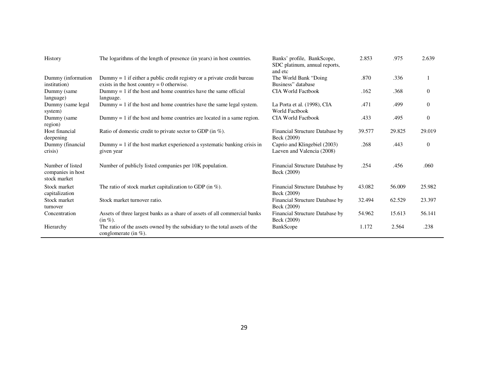| History                                               | The logarithms of the length of presence (in years) in host countries.                                                   | Banks' profile, BankScope,<br>SDC platinum, annual reports,<br>and etc | 2.853  | .975   | 2.639            |
|-------------------------------------------------------|--------------------------------------------------------------------------------------------------------------------------|------------------------------------------------------------------------|--------|--------|------------------|
| Dummy (information<br>institution)                    | $Dummy = 1$ if either a public credit registry or a private credit bureau<br>exists in the host country $= 0$ otherwise. | The World Bank "Doing"<br>Business" database                           | .870   | .336   |                  |
| Dummy (same)<br>language)                             | Dummy $= 1$ if the host and home countries have the same official<br>language.                                           | <b>CIA World Factbook</b>                                              | .162   | .368   | $\Omega$         |
| Dummy (same legal<br>system)                          | Dummy $= 1$ if the host and home countries have the same legal system.                                                   | La Porta et al. (1998), CIA<br><b>World Factbook</b>                   | .471   | .499   | $\overline{0}$   |
| Dummy (same<br>region)                                | Dummy $= 1$ if the host and home countries are located in a same region.                                                 | <b>CIA World Factbook</b>                                              | .433   | .495   | $\boldsymbol{0}$ |
| Host financial<br>deepening                           | Ratio of domestic credit to private sector to GDP (in $\%$ ).                                                            | Financial Structure Database by<br>Beck (2009)                         | 39.577 | 29.825 | 29.019           |
| Dummy (financial<br>crisis)                           | Dummy $= 1$ if the host market experienced a systematic banking crisis in<br>given year                                  | Caprio and Klingebiel (2003)<br>Laeven and Valencia (2008)             | .268   | .443   | $\theta$         |
| Number of listed<br>companies in host<br>stock market | Number of publicly listed companies per 10K population.                                                                  | Financial Structure Database by<br>Beck (2009)                         | .254   | .456   | .060             |
| Stock market<br>capitalization                        | The ratio of stock market capitalization to GDP (in $\%$ ).                                                              | Financial Structure Database by<br>Beck (2009)                         | 43.082 | 56.009 | 25.982           |
| Stock market<br>turnover                              | Stock market turnover ratio.                                                                                             | Financial Structure Database by<br>Beck (2009)                         | 32.494 | 62.529 | 23.397           |
| Concentration                                         | Assets of three largest banks as a share of assets of all commercial banks<br>$(in \%)$ .                                | Financial Structure Database by<br>Beck (2009)                         | 54.962 | 15.613 | 56.141           |
| Hierarchy                                             | The ratio of the assets owned by the subsidiary to the total assets of the<br>conglomerate (in $%$ ).                    | BankScope                                                              | 1.172  | 2.564  | .238             |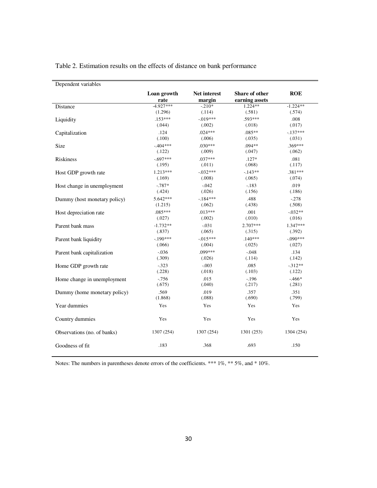| Dependent variables          |                     |                               |                                         |            |
|------------------------------|---------------------|-------------------------------|-----------------------------------------|------------|
|                              | Loan growth<br>rate | <b>Net interest</b><br>margin | <b>Share of other</b><br>earning assets | <b>ROE</b> |
| Distance                     | $-4.927***$         | $-210*$                       | $1.224**$                               | $-1.224**$ |
|                              | (1.296)             | (.114)                        | (.581)                                  | (.574)     |
| Liquidity                    | $.153***$           | $-019***$                     | .593***                                 | .008       |
|                              | (.044)              | (.002)                        | (.018)                                  | (.017)     |
| Capitalization               | .124                | $.024***$                     | $.085***$                               | $-.137***$ |
|                              | (.100)              | (.006)                        | (.035)                                  | (.031)     |
| Size                         | $-404***$           | $.030***$                     | $.094**$                                | $.369***$  |
|                              | (.122)              | (.009)                        | (.047)                                  | (.062)     |
| <b>Riskiness</b>             | $-.697***$          | $.037***$                     | $.127*$                                 | .081       |
|                              | (.195)              | (.011)                        | (.068)                                  | (.117)     |
| Host GDP growth rate         | $1.213***$          | $-.032***$                    | $-.143**$                               | $.381***$  |
|                              | (.169)              | (.008)                        | (.065)                                  | (.074)     |
| Host change in unemployment  | $-787*$             | $-.042$                       | $-.183$                                 | .019       |
|                              | (.424)              | (.026)                        | (.156)                                  | (.186)     |
| Dummy (host monetary policy) | $5.642***$          | $-184***$                     | .488                                    | $-.278$    |
|                              | (1.215)             | (.062)                        | (.438)                                  | (.508)     |
| Host depreciation rate       | $.085***$           | $.013***$                     | .001                                    | $-0.032**$ |
|                              | (.027)              | (.002)                        | (.010)                                  | (.016)     |
| Parent bank mass             | $-1.732**$          | $-.031$                       | $2.707***$                              | $1.347***$ |
|                              | (.837)              | (.065)                        | (.315)                                  | (.392)     |
| Parent bank liquidity        | $-.190***$          | $-0.015***$                   | $.140***$                               | $-.090***$ |
|                              | (.066)              | (.004)                        | (.025)                                  | (.027)     |
| Parent bank capitalization   | $-.036$             | .099***                       | $-.048$                                 | .134       |
|                              | (.309)              | (.026)                        | (.114)                                  | (.142)     |
| Home GDP growth rate         | $-323$              | $-.003$                       | .085                                    | $-312**$   |
|                              | (.228)              | (.018)                        | (.103)                                  | (.122)     |
| Home change in unemployment  | $-756$              | .015                          | $-196$                                  | $-466*$    |
|                              | (.675)              | (.040)                        | (.217)                                  | (.281)     |
| Dummy (home monetary policy) | .569                | .019                          | .357                                    | .351       |
|                              | (1.868)             | (.088)                        | (.690)                                  | (.799)     |
| Year dummies                 | Yes                 | Yes                           | Yes                                     | Yes        |
| Country dummies              | Yes                 | Yes                           | Yes                                     | Yes        |
| Observations (no. of banks)  | 1307 (254)          | 1307 (254)                    | 1301 (253)                              | 1304 (254) |
| Goodness of fit              | .183                | .368                          | .693                                    | .150       |

Table 2. Estimation results on the effects of distance on bank performance

Notes: The numbers in parentheses denote errors of the coefficients. \*\*\* 1%, \*\* 5%, and \* 10%.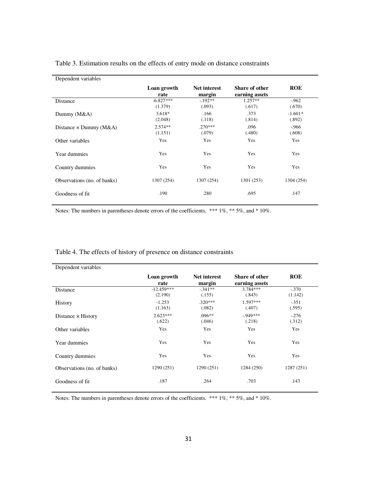| Dependent variables           |                        |                        |                                  |                     |
|-------------------------------|------------------------|------------------------|----------------------------------|---------------------|
|                               | Loan growth<br>rate    | Net interest<br>margin | Share of other<br>earning assets | <b>ROE</b>          |
| Distance                      | $-6.827***$<br>(1.379) | $-.192**$<br>(.093)    | $1.257**$<br>(.617)              | $-962$<br>(.670)    |
| Dummy $(M&A)$                 | $3.618*$<br>(2.048)    | .166<br>(.118)         | .373<br>(.814)                   | $-1.601*$<br>(.892) |
| Distance $\times$ Dummy (M&A) | $2.574**$<br>(1.151)   | $.270***$<br>(.079)    | .096<br>(.480)                   | $-966$<br>(.608)    |
| Other variables               | Yes                    | Yes                    | Yes                              | Yes                 |
| Year dummies                  | Yes                    | Yes                    | Yes                              | Yes                 |
| Country dummies               | Yes                    | Yes                    | Yes                              | Yes                 |
| Observations (no. of banks)   | 1307 (254)             | 1307 (254)             | 1301 (253)                       | 1304 (254)          |
| Goodness of fit.              | .190                   | .280                   | .695                             | .147                |

Table 3. Estimation results on the effects of entry mode on distance constraints

Notes: The numbers in parentheses denote errors of the coefficients. \*\*\* 1%, \*\* 5%, and \* 10%.

| Dependent variables         |                         |                               |                                         |                    |
|-----------------------------|-------------------------|-------------------------------|-----------------------------------------|--------------------|
|                             | Loan growth<br>rate     | <b>Net interest</b><br>margin | <b>Share of other</b><br>earning assets | <b>ROE</b>         |
| Distance                    | $-12.459***$<br>(2.190) | $-.341**$<br>(.155)           | 3.784***<br>(.843)                      | $-.370$<br>(1.142) |
| History                     | $-1.253$<br>(1.163)     | $.320***$<br>(.082)           | $1.597***$<br>(.407)                    | $-351$<br>(.595)   |
| Distance $\times$ History   | $2.623***$<br>(.622)    | $.096**$<br>(.046)            | $-949***$<br>(.218)                     | $-276$<br>(.312)   |
| Other variables             | Yes                     | Yes                           | Yes                                     | Yes                |
| Year dummies                | Yes                     | Yes                           | Yes                                     | Yes                |
| Country dummies             | Yes                     | Yes                           | Yes                                     | Yes                |
| Observations (no. of banks) | 1290 (251)              | 1290 (251)                    | 1284 (250)                              | 1287 (251)         |
| Goodness of fit.            | .187                    | .264                          | .703                                    | .143               |

# Table 4. The effects of history of presence on distance constraints

Notes: The numbers in parentheses denote errors of the coefficients. \*\*\* 1%, \*\* 5%, and \* 10%.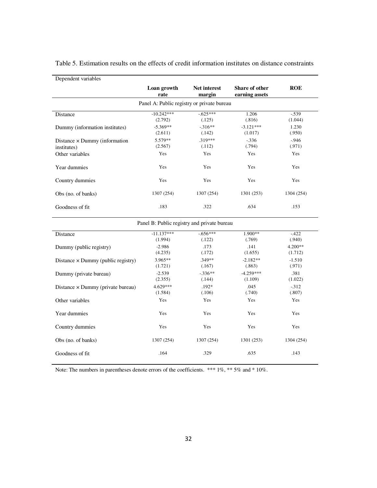| Dependent variables                                 |                         |                        |                                  |                    |  |  |  |
|-----------------------------------------------------|-------------------------|------------------------|----------------------------------|--------------------|--|--|--|
|                                                     | Loan growth<br>rate     | Net interest<br>margin | Share of other<br>earning assets | <b>ROE</b>         |  |  |  |
| Panel A: Public registry or private bureau          |                         |                        |                                  |                    |  |  |  |
| Distance                                            | $-10.242***$<br>(2.792) | $-0.625***$<br>(.125)  | 1.206<br>(.816)                  | $-.539$<br>(1.044) |  |  |  |
| Dummy (information institutes)                      | $-5.369**$<br>(2.611)   | $-316**$<br>(.142)     | $-3.121***$<br>(1.017)           | 1.230<br>(.950)    |  |  |  |
| Distance $\times$ Dummy (information<br>institutes) | $5.579**$<br>(2.567)    | $.319***$<br>(.112)    | $-.336$<br>(.794)                | $-946$<br>(.971)   |  |  |  |
| Other variables                                     | Yes                     | Yes                    | Yes                              | Yes                |  |  |  |
| Year dummies                                        | Yes                     | Yes                    | Yes                              | Yes                |  |  |  |
| Country dummies                                     | Yes                     | Yes                    | Yes                              | Yes                |  |  |  |
| Obs (no. of banks)                                  | 1307 (254)              | 1307 (254)             | 1301 (253)                       | 1304 (254)         |  |  |  |
| Goodness of fit.                                    | .183                    | .322                   | .634                             | .153               |  |  |  |

Table 5. Estimation results on the effects of credit information institutes on distance constraints

| Panel B: Public registry and private bureau |                         |                     |                        |                      |  |
|---------------------------------------------|-------------------------|---------------------|------------------------|----------------------|--|
| Distance                                    | $-11.137***$<br>(1.994) | $-656***$<br>(.122) | $1.900**$<br>(.769)    | $-422$<br>(.940)     |  |
| Dummy (public registry)                     | $-2.986$<br>(4.235)     | .173<br>(.172)      | .141<br>(1.655)        | $4.200**$<br>(1.712) |  |
| Distance $\times$ Dummy (public registry)   | $3.965**$<br>(1.721)    | $.349**$<br>(.167)  | $-2.182**$<br>(.863)   | $-1.510$<br>(.971)   |  |
| Dummy (private bureau)                      | $-2.539$<br>(2.355)     | $-336**$<br>(.144)  | $-4.259***$<br>(1.109) | .381<br>(1.022)      |  |
| Distance $\times$ Dummy (private bureau)    | $4.629***$<br>(1.584)   | $.192*$<br>(.106)   | .045<br>(.740)         | $-312$<br>(.807)     |  |
| Other variables                             | Yes                     | Yes                 | Yes                    | Yes                  |  |
| Year dummies                                | Yes                     | Yes                 | Yes                    | Yes                  |  |
| Country dummies                             | Yes                     | Yes                 | Yes                    | Yes                  |  |
| Obs (no. of banks)                          | 1307 (254)              | 1307 (254)          | 1301 (253)             | 1304 (254)           |  |
| Goodness of fit                             | .164                    | .329                | .635                   | .143                 |  |

Note: The numbers in parentheses denote errors of the coefficients. \*\*\* 1%, \*\* 5% and \* 10%.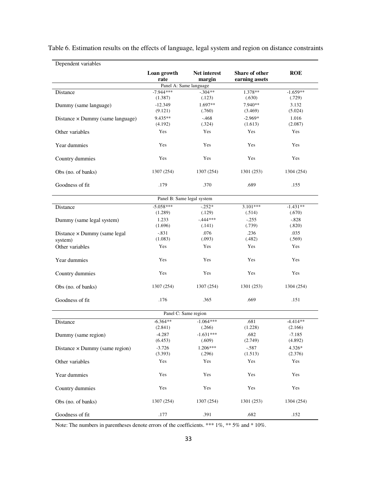| Dependent variables                            |                            |                       |                      |                       |
|------------------------------------------------|----------------------------|-----------------------|----------------------|-----------------------|
|                                                | Loan growth                | Net interest          | Share of other       | <b>ROE</b>            |
|                                                | rate                       | margin                | earning assets       |                       |
|                                                | Panel A: Same language     |                       |                      |                       |
| Distance                                       | $-7.944***$<br>(1.387)     | $-.304**$<br>(.123)   | 1.378**<br>(.630)    | $-1.659**$<br>(.729)  |
| Dummy (same language)                          | $-12.349$<br>(9.121)       | $1.697**$<br>(.760)   | 7.940**<br>(3.469)   | 3.132<br>(5.024)      |
| Distance $\times$ Dummy (same language)        | 9.435**<br>(4.192)         | $-468$<br>(.324)      | $-2.969*$<br>(1.613) | 1.016<br>(2.087)      |
| Other variables                                | Yes                        | Yes                   | Yes                  | Yes                   |
| Year dummies                                   | Yes                        | Yes                   | Yes                  | Yes                   |
| Country dummies                                | Yes                        | Yes                   | Yes                  | Yes                   |
| Obs (no. of banks)                             | 1307 (254)                 | 1307 (254)            | 1301 (253)           | 1304 (254)            |
| Goodness of fit                                | .179                       | .370                  | .689                 | .155                  |
|                                                | Panel B: Same legal system |                       |                      |                       |
| Distance                                       | $-5.058***$                | $-252*$               | $3.101***$           | $-1.431**$            |
|                                                | (1.289)                    | (.129)                | (.514)               | (.670)                |
| Dummy (same legal system)                      | 1.233<br>(1.696)           | $-444***$<br>(.141)   | $-.255$<br>(.739)    | $-.828$<br>(.820)     |
| Distance $\times$ Dummy (same legal<br>system) | $-.831$<br>(1.083)         | .076<br>(.093)        | .236<br>(.482)       | .035<br>(.569)        |
| Other variables                                | Yes                        | Yes                   | Yes                  | Yes                   |
| Year dummies                                   | Yes                        | Yes                   | Yes                  | Yes                   |
| Country dummies                                | Yes                        | Yes                   | Yes                  | Yes                   |
| Obs (no. of banks)                             | 1307 (254)                 | 1307 (254)            | 1301 (253)           | 1304 (254)            |
| Goodness of fit                                | .176                       | .365                  | .669                 | .151                  |
|                                                | Panel C: Same region       |                       |                      |                       |
| Distance                                       | $-6.364**$<br>(2.841)      | $-1.064***$<br>(.266) | .681<br>(1.228)      | $-4.414**$<br>(2.166) |
| Dummy (same region)                            | $-4.287$<br>(6.453)        | $-1.631***$<br>(.609) | .682<br>(2.749)      | $-7.185$<br>(4.892)   |
| Distance $\times$ Dummy (same region)          | $-3.726$<br>(3.393)        | 1.206***<br>(.296)    | $-587$<br>(1.513)    | 4.326*<br>(2.376)     |
| Other variables                                | Yes                        | Yes                   | Yes                  | Yes                   |
| Year dummies                                   | Yes                        | Yes                   | Yes                  | Yes                   |
| Country dummies                                | Yes                        | Yes                   | Yes                  | Yes                   |
| Obs (no. of banks)                             | 1307 (254)                 | 1307 (254)            | 1301 (253)           | 1304 (254)            |
| Goodness of fit                                | .177                       | .391                  | .682                 | .152                  |

Table 6. Estimation results on the effects of language, legal system and region on distance constraints

Note: The numbers in parentheses denote errors of the coefficients. \*\*\* 1%, \*\* 5% and \* 10%.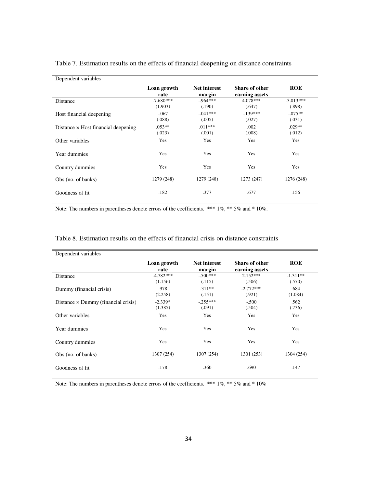| Dependent variables                        |                     |                               |                                  |             |  |
|--------------------------------------------|---------------------|-------------------------------|----------------------------------|-------------|--|
|                                            | Loan growth<br>rate | <b>Net interest</b><br>margin | Share of other<br>earning assets | <b>ROE</b>  |  |
| Distance                                   | $-7.680***$         | $-964***$                     | $4.078***$                       | $-3.013***$ |  |
|                                            | (1.903)             | (.190)                        | (.647)                           | (.898)      |  |
| Host financial deepening                   | $-.067$             | $-.041***$                    | $-139***$                        | $-0.075**$  |  |
|                                            | (.088)              | (.005)                        | (.027)                           | (.031)      |  |
| Distance $\times$ Host financial deepening | $.053**$            | $.011***$                     | .002                             | $.029**$    |  |
|                                            | (.023)              | (.001)                        | (.008)                           | (.012)      |  |
| Other variables                            | Yes                 | Yes                           | Yes                              | Yes         |  |
| Year dummies                               | Yes                 | Yes                           | Yes                              | Yes         |  |
| Country dummies                            | Yes                 | Yes                           | Yes                              | Yes         |  |
| Obs (no. of banks)                         | 1279 (248)          | 1279 (248)                    | 1273 (247)                       | 1276 (248)  |  |
| Goodness of fit.                           | .182                | .377                          | .677                             | .156        |  |

Table 7. Estimation results on the effects of financial deepening on distance constraints

Note: The numbers in parentheses denote errors of the coefficients. \*\*\*  $1\%$ , \*\*  $5\%$  and \*  $10\%$ .

| Dependent variables                        |                        |                               |                                  |                      |  |
|--------------------------------------------|------------------------|-------------------------------|----------------------------------|----------------------|--|
|                                            | Loan growth<br>rate    | <b>Net interest</b><br>margin | Share of other<br>earning assets | <b>ROE</b>           |  |
| Distance                                   | $-4.782***$<br>(1.156) | $-.500***$<br>(.115)          | $2.152***$<br>(.506)             | $-1.311**$<br>(.570) |  |
| Dummy (financial crisis)                   | .978<br>(2.258)        | $.311**$<br>(.151)            | $-2.772***$<br>(.921)            | .684<br>(1.084)      |  |
| Distance $\times$ Dummy (financial crisis) | $-2.339*$<br>(1.385)   | $-255***$<br>(.091)           | $-.500$<br>(.504)                | .562<br>(.736)       |  |
| Other variables                            | Yes                    | Yes                           | Yes                              | Yes                  |  |
| Year dummies                               | Yes                    | Yes                           | Yes                              | Yes                  |  |
| Country dummies                            | Yes                    | Yes                           | Yes                              | Yes                  |  |
| Obs (no. of banks)                         | 1307 (254)             | 1307 (254)                    | 1301 (253)                       | 1304 (254)           |  |
| Goodness of fit.                           | .178                   | .360                          | .690                             | .147                 |  |

### Table 8. Estimation results on the effects of financial crisis on distance constraints

Note: The numbers in parentheses denote errors of the coefficients. \*\*\* 1%, \*\* 5% and \* 10%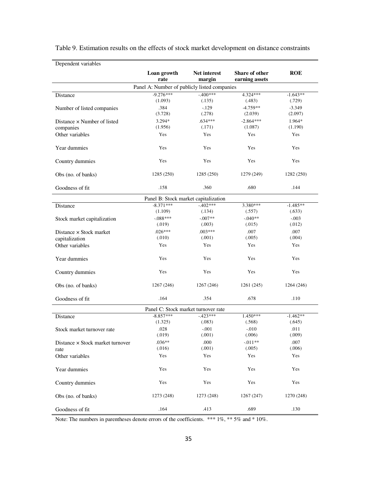| Dependent variables                             |                                              |                        |                                  |                      |
|-------------------------------------------------|----------------------------------------------|------------------------|----------------------------------|----------------------|
|                                                 | Loan growth<br>rate                          | Net interest<br>margin | Share of other<br>earning assets | <b>ROE</b>           |
|                                                 | Panel A: Number of publicly listed companies |                        |                                  |                      |
| Distance                                        | $-9.276***$<br>(1.093)                       | $-.400***$<br>(.135)   | 4.324***<br>(.483)               | $-1.643**$<br>(.729) |
| Number of listed companies                      | .384<br>(3.728)                              | $-129$<br>(.278)       | $-4.759**$<br>(2.039)            | $-3.349$<br>(2.097)  |
| Distance $\times$ Number of listed<br>companies | 3.294*<br>(1.956)                            | $.634***$<br>(.171)    | $-2.864***$<br>(1.087)           | 1.964*<br>(1.190)    |
| Other variables                                 | Yes                                          | Yes                    | Yes                              | Yes                  |
| Year dummies                                    | Yes                                          | Yes                    | Yes                              | Yes                  |
| Country dummies                                 | Yes                                          | Yes                    | Yes                              | Yes                  |
| Obs (no. of banks)                              | 1285 (250)                                   | 1285 (250)             | 1279 (249)                       | 1282 (250)           |
| Goodness of fit                                 | .158                                         | .360                   | .680                             | .144                 |
|                                                 | Panel B: Stock market capitalization         |                        |                                  |                      |
| Distance                                        | $-8.371***$                                  | $-402***$              | 3.380***                         | $-1.485**$           |
|                                                 | (1.109)                                      | (.134)                 | (.557)                           | (.633)               |
| Stock market capitalization                     | $-.088***$<br>(.019)                         | $-.007**$<br>(.003)    | $-.040**$<br>(.015)              | $-.003$<br>(.012)    |
| Distance × Stock market                         | $.026***$                                    | $.003***$              | .007                             | .007                 |
| capitalization                                  | (.010)                                       | (.001)                 | (.005)                           | (.004)               |
| Other variables                                 | Yes                                          | Yes                    | Yes                              | Yes                  |
| Year dummies                                    | Yes                                          | Yes                    | Yes                              | Yes                  |
| Country dummies                                 | Yes                                          | Yes                    | Yes                              | Yes                  |
| Obs (no. of banks)                              | 1267 (246)                                   | 1267 (246)             | 1261 (245)                       | 1264 (246)           |
| Goodness of fit                                 | .164                                         | .354                   | .678                             | .110                 |
|                                                 | Panel C: Stock market turnover rate          |                        |                                  |                      |
| Distance                                        | $-8.857***$<br>(1.325)                       | $-423***$<br>(.083)    | $1.450***$<br>(.568)             | $-1.462**$<br>(.645) |
| Stock market turnover rate                      | .028<br>(.019)                               | $-.001$<br>(.001)      | $-0.010$<br>(.006)               | .011<br>(.009)       |
| Distance $\times$ Stock market turnover<br>rate | $.036**$<br>(.016)                           | .000<br>(.001)         | $-.011**$<br>(.005)              | .007<br>(.006)       |
| Other variables                                 | Yes                                          | Yes                    | Yes                              | Yes                  |
| Year dummies                                    | Yes                                          | Yes                    | Yes                              | Yes                  |
| Country dummies                                 | Yes                                          | Yes                    | Yes                              | Yes                  |
| Obs (no. of banks)                              | 1273 (248)                                   | 1273 (248)             | 1267 (247)                       | 1270 (248)           |
| Goodness of fit                                 | .164                                         | .413                   | .689                             | .130                 |

Table 9. Estimation results on the effects of stock market development on distance constraints

Note: The numbers in parentheses denote errors of the coefficients. \*\*\* 1%, \*\* 5% and \* 10%.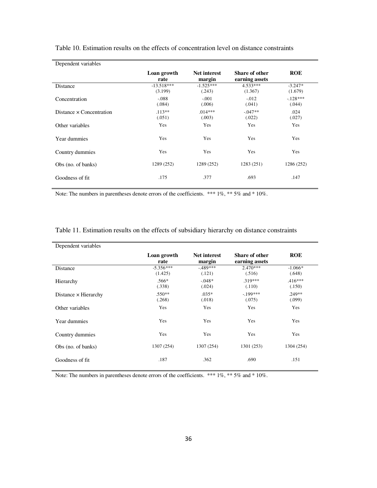| Dependent variables      |                         |                               |                                  |                      |
|--------------------------|-------------------------|-------------------------------|----------------------------------|----------------------|
|                          | Loan growth<br>rate     | <b>Net interest</b><br>margin | Share of other<br>earning assets | <b>ROE</b>           |
| Distance                 | $-13.518***$<br>(3.199) | $-1.525***$<br>(.243)         | $4.533***$<br>(1.367)            | $-3.247*$<br>(1.679) |
| Concentration            | $-.088$<br>(.084)       | $-.001$<br>(.006)             | $-0.012$<br>(.041)               | $-128***$<br>(.044)  |
| Distance x Concentration | $.113**$<br>(.051)      | $.014***$<br>(.003)           | $-.047**$<br>(.022)              | .024<br>(.027)       |
| Other variables          | Yes                     | Yes                           | Yes                              | Yes                  |
| Year dummies             | Yes                     | Yes                           | Yes                              | Yes                  |
| Country dummies          | Yes                     | Yes                           | Yes                              | Yes                  |
| Obs (no. of banks)       | 1289 (252)              | 1289 (252)                    | 1283 (251)                       | 1286 (252)           |
| Goodness of fit.         | .175                    | .377                          | .693                             | .147                 |

Table 10. Estimation results on the effects of concentration level on distance constraints

Note: The numbers in parentheses denote errors of the coefficients. \*\*\* 1%, \*\* 5% and \* 10%.

| Dependent variables         |                        |                               |                                  |                     |
|-----------------------------|------------------------|-------------------------------|----------------------------------|---------------------|
|                             | Loan growth<br>rate    | <b>Net interest</b><br>margin | Share of other<br>earning assets | <b>ROE</b>          |
| Distance                    | $-5.356***$<br>(1.425) | $-489***$<br>(.121)           | $2.470***$<br>(.516)             | $-1.066*$<br>(.648) |
| Hierarchy                   | $.566*$<br>(.338)      | $-0.048*$<br>(.024)           | $.319***$<br>(.110)              | $.416***$<br>(.150) |
| Distance $\times$ Hierarchy | $.550**$<br>(.268)     | $.035*$<br>(.018)             | $-199***$<br>(.075)              | $.249**$<br>(.099)  |
| Other variables             | Yes                    | Yes                           | Yes                              | Yes                 |
| Year dummies                | Yes                    | Yes                           | Yes                              | Yes                 |
| Country dummies             | Yes                    | Yes                           | Yes                              | Yes                 |
| Obs (no. of banks)          | 1307 (254)             | 1307 (254)                    | 1301 (253)                       | 1304 (254)          |
| Goodness of fit.            | .187                   | .362                          | .690                             | .151                |

Table 11. Estimation results on the effects of subsidiary hierarchy on distance constraints

Note: The numbers in parentheses denote errors of the coefficients. \*\*\* 1%, \*\* 5% and \* 10%.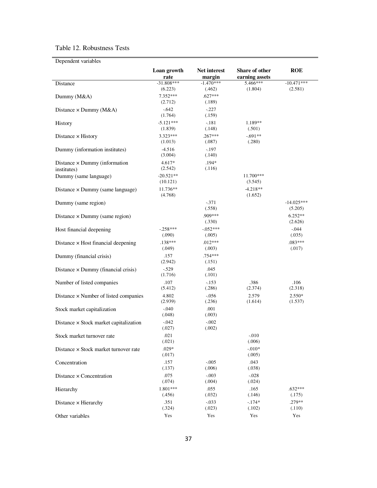### Table 12. Robustness Tests

| Dependent variables                                 |                         |                        |                                  |                         |
|-----------------------------------------------------|-------------------------|------------------------|----------------------------------|-------------------------|
|                                                     | Loan growth<br>rate     | Net interest<br>margin | Share of other<br>earning assets | <b>ROE</b>              |
| Distance                                            | $-31.808***$<br>(6.223) | $-1.470***$<br>(.462)  | 5.466***<br>(1.804)              | $-10.471***$<br>(2.581) |
| Dummy (M&A)                                         | 7.352***<br>(2.712)     | $.627***$<br>(.189)    |                                  |                         |
| Distance $\times$ Dummy (M&A)                       | $-642$<br>(1.764)       | $-.227$<br>(.159)      |                                  |                         |
| History                                             | $-5.121***$<br>(1.839)  | $-181$<br>(.148)       | 1.189**<br>(.501)                |                         |
| Distance $\times$ History                           | 3.323***<br>(1.013)     | $.267***$<br>(.087)    | $-.691**$<br>(.280)              |                         |
| Dummy (information institutes)                      | $-4.516$<br>(3.004)     | $-197$<br>(.140)       |                                  |                         |
| Distance $\times$ Dummy (information<br>institutes) | 4.617*<br>(2.542)       | $.194*$<br>(.116)      |                                  |                         |
| Dummy (same language)                               | $-20.521**$<br>(10.121) |                        | 11.700***<br>(3.545)             |                         |
| Distance $\times$ Dummy (same language)             | 11.736**<br>(4.768)     |                        | $-4.218**$<br>(1.652)            |                         |
| Dummy (same region)                                 |                         | $-371$<br>(.558)       |                                  | $-14.025***$<br>(5.205) |
| Distance $\times$ Dummy (same region)               |                         | .909***<br>(.330)      |                                  | $6.252**$<br>(2.626)    |
| Host financial deepening                            | $-.258***$<br>(.090)    | $-052***$<br>(.005)    |                                  | $-.044$<br>(.035)       |
| Distance $\times$ Host financial deepening          | .138***<br>(.049)       | $.012***$<br>(.003)    |                                  | $.083***$<br>(.017)     |
| Dummy (financial crisis)                            | .157<br>(2.942)         | .754***<br>(.151)      |                                  |                         |
| Distance $\times$ Dummy (financial crisis)          | $-529$<br>(1.716)       | .045<br>(.101)         |                                  |                         |
| Number of listed companies                          | .107<br>(5.412)         | $-153$<br>(.286)       | .386<br>(2.374)                  | .106<br>(2.318)         |
| Distance $\times$ Number of listed companies        | 4.802<br>(2.939)        | $-0.056$<br>(.236)     | 2.579<br>(1.614)                 | $2.550*$<br>(1.537)     |
| Stock market capitalization                         | $-0.040$<br>(.048)      | .001<br>(.003)         |                                  |                         |
| Distance $\times$ Stock market capitalization       | $-0.042$<br>(.027)      | $-0.002$<br>(.002)     |                                  |                         |
| Stock market turnover rate                          | .021<br>(.021)          |                        | $-.010$<br>(.006)                |                         |
| Distance $\times$ Stock market turnover rate        | $.029*$<br>(.017)       |                        | $-010*$<br>(.005)                |                         |
| Concentration                                       | .157<br>(.137)          | $-.005$<br>(.006)      | .043<br>(.038)                   |                         |
| Distance $\times$ Concentration                     | .075<br>(.074)          | $-.003$<br>(.004)      | $-0.028$<br>(.024)               |                         |
| Hierarchy                                           | 1.801***<br>(.456)      | .055<br>(.032)         | .165<br>(.146)                   | $.632***$<br>(.175)     |
| Distance × Hierarchy                                | .351<br>(.324)          | $-0.033$<br>(.023)     | $-174*$<br>(.102)                | .279**<br>(.110)        |
| Other variables                                     | Yes                     | Yes                    | Yes                              | Yes                     |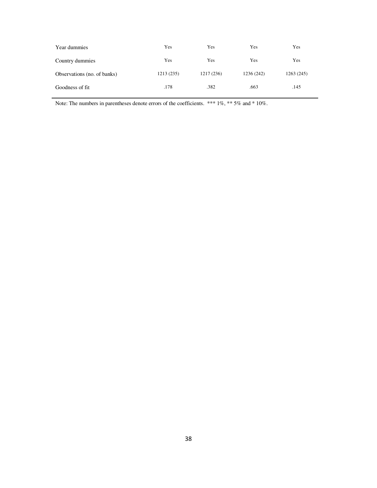| Year dummies                | Yes        | Yes        | Yes        | Yes        |
|-----------------------------|------------|------------|------------|------------|
| Country dummies             | Yes        | Yes        | Yes        | Yes        |
| Observations (no. of banks) | 1213 (235) | 1217 (236) | 1236 (242) | 1263 (245) |
| Goodness of fit             | .178       | .382       | .663       | .145       |

Note: The numbers in parentheses denote errors of the coefficients. \*\*\* 1%, \*\* 5% and \* 10%.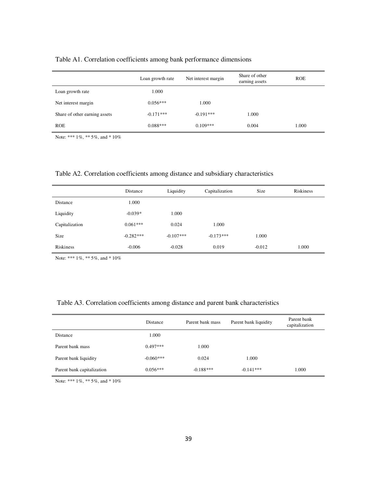# Table A1. Correlation coefficients among bank performance dimensions

|                               | Loan growth rate | Net interest margin | Share of other<br>earning assets | <b>ROE</b> |
|-------------------------------|------------------|---------------------|----------------------------------|------------|
| Loan growth rate              | 1.000            |                     |                                  |            |
| Net interest margin           | $0.056***$       | 1.000               |                                  |            |
| Share of other earning assets | $-0.171***$      | $-0.191***$         | 1.000                            |            |
| <b>ROE</b>                    | $0.088***$       | $0.109***$          | 0.004                            | 1.000      |

Note: \*\*\* 1%, \*\* 5%, and \* 10%

# Table A2. Correlation coefficients among distance and subsidiary characteristics

|                  | Distance    | Liquidity   | Capitalization | Size     | <b>Riskiness</b> |
|------------------|-------------|-------------|----------------|----------|------------------|
| Distance         | 1.000       |             |                |          |                  |
| Liquidity        | $-0.039*$   | 1.000       |                |          |                  |
| Capitalization   | $0.061***$  | 0.024       | 1.000          |          |                  |
| <b>Size</b>      | $-0.282***$ | $-0.107***$ | $-0.173***$    | 1.000    |                  |
| <b>Riskiness</b> | $-0.006$    | $-0.028$    | 0.019          | $-0.012$ | 1.000            |

Note: \*\*\* 1%, \*\* 5%, and \* 10%

# Table A3. Correlation coefficients among distance and parent bank characteristics

|                            | Distance    | Parent bank mass | Parent bank liquidity | Parent bank<br>capitalization |
|----------------------------|-------------|------------------|-----------------------|-------------------------------|
| Distance                   | 1.000       |                  |                       |                               |
| Parent bank mass           | $0.497***$  | 1.000            |                       |                               |
| Parent bank liquidity      | $-0.060***$ | 0.024            | 1.000                 |                               |
| Parent bank capitalization | $0.056***$  | $-0.188***$      | $-0.141***$           | 1.000                         |

Note: \*\*\* 1%, \*\* 5%, and \* 10%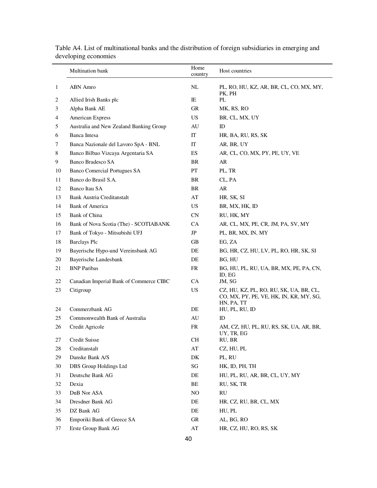|    | Multination bank                        | Home<br>country        | Host countries                                                                                   |
|----|-----------------------------------------|------------------------|--------------------------------------------------------------------------------------------------|
| 1  | ABN Amro                                | NL                     | PL, RO, HU, KZ, AR, BR, CL, CO, MX, MY,<br>PK, PH                                                |
| 2  | Allied Irish Banks plc                  | IE                     | PL                                                                                               |
| 3  | Alpha Bank AE                           | <b>GR</b>              | MK, RS, RO                                                                                       |
| 4  | American Express                        | <b>US</b>              | BR, CL, MX, UY                                                                                   |
| 5  | Australia and New Zealand Banking Group | AU                     | ID                                                                                               |
| 6  | Banca Intesa                            | IT                     | HR, BA, RU, RS, SK                                                                               |
| 7  | Banca Nazionale del Lavoro SpA - BNL    | IT                     | AR, BR, UY                                                                                       |
| 8  | Banco Bilbao Vizcaya Argentaria SA      | ES                     | AR, CL, CO, MX, PY, PE, UY, VE                                                                   |
| 9  | <b>Banco Bradesco SA</b>                | <b>BR</b>              | AR                                                                                               |
| 10 | <b>Banco Comercial Portugues SA</b>     | PT                     | PL, TR                                                                                           |
| 11 | Banco do Brasil S.A.                    | <b>BR</b>              | CL, PA                                                                                           |
| 12 | Banco Itau SA                           | BR                     | AR                                                                                               |
| 13 | <b>Bank Austria Creditanstalt</b>       | AT                     | HR, SK, SI                                                                                       |
| 14 | <b>Bank of America</b>                  | <b>US</b>              | BR, MX, HK, ID                                                                                   |
| 15 | Bank of China                           | CN                     | RU, HK, MY                                                                                       |
| 16 | Bank of Nova Scotia (The) - SCOTIABANK  | CA                     | AR, CL, MX, PE, CR, JM, PA, SV, MY                                                               |
| 17 | Bank of Tokyo - Mitsubishi UFJ          | JP                     | PL, BR, MX, IN, MY                                                                               |
| 18 | <b>Barclays Plc</b>                     | <b>GB</b>              | EG, ZA                                                                                           |
| 19 | Bayerische Hypo-und Vereinsbank AG      | DE                     | BG, HR, CZ, HU, LV, PL, RO, HR, SK, SI                                                           |
| 20 | Bayerische Landesbank                   | DE                     | BG, HU                                                                                           |
| 21 | <b>BNP</b> Paribas                      | <b>FR</b>              | BG, HU, PL, RU, UA, BR, MX, PE, PA, CN,<br>ID, EG                                                |
| 22 | Canadian Imperial Bank of Commerce CIBC | CA                     | JM, SG                                                                                           |
| 23 | Citigroup                               | US                     | CZ, HU, KZ, PL, RO, RU, SK, UA, BR, CL,<br>CO, MX, PY, PE, VE, HK, IN, KR, MY, SG,<br>HN, PA, TT |
| 24 | Commerzbank AG                          | DE                     | HU, PL, RU, ID                                                                                   |
| 25 | Commonwealth Bank of Australia          | AU                     | ID                                                                                               |
| 26 | Credit Agricole                         | <b>FR</b>              | AM, CZ, HU, PL, RU, RS, SK, UA, AR, BR,                                                          |
| 27 | Credit Suisse                           | <b>CH</b>              | UY, TR, EG<br>RU, BR                                                                             |
| 28 | Creditanstalt                           | AT                     | CZ, HU, PL                                                                                       |
| 29 | Danske Bank A/S                         | DK                     | PL, RU                                                                                           |
| 30 | DBS Group Holdings Ltd                  | $\mathbf{S}\mathbf{G}$ | HK, ID, PH, TH                                                                                   |
| 31 | Deutsche Bank AG                        | DE                     | HU, PL, RU, AR, BR, CL, UY, MY                                                                   |
| 32 | Dexia                                   | BE                     | RU, SK, TR                                                                                       |
| 33 | DnB Nor ASA                             | N <sub>O</sub>         | RU                                                                                               |
| 34 | Dresdner Bank AG                        | DE                     | HR, CZ, RU, BR, CL, MX                                                                           |
| 35 | DZ Bank AG                              | DE                     | HU, PL                                                                                           |
| 36 | Emporiki Bank of Greece SA              | GR                     | AL, BG, RO                                                                                       |
| 37 | Erste Group Bank AG                     | $\mathbf{A}\mathbf{T}$ | HR, CZ, HU, RO, RS, SK                                                                           |

Table A4. List of multinational banks and the distribution of foreign subsidiaries in emerging and developing economies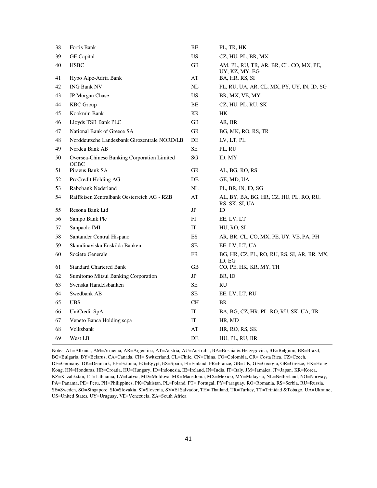| 38 | Fortis Bank                                                | BE        | PL, TR, HK                                                |
|----|------------------------------------------------------------|-----------|-----------------------------------------------------------|
| 39 | <b>GE</b> Capital                                          | US.       | CZ, HU, PL, BR, MX                                        |
| 40 | <b>HSBC</b>                                                | GB        | AM, PL, RU, TR, AR, BR, CL, CO, MX, PE,<br>UY, KZ, MY, EG |
| 41 | Hypo Alpe-Adria Bank                                       | AT        | BA, HR, RS, SI                                            |
| 42 | <b>ING Bank NV</b>                                         | $\rm NL$  | PL, RU, UA, AR, CL, MX, PY, UY, IN, ID, SG                |
| 43 | JP Morgan Chase                                            | US        | BR, MX, VE, MY                                            |
| 44 | <b>KBC</b> Group                                           | BE        | CZ, HU, PL, RU, SK                                        |
| 45 | Kookmin Bank                                               | KR        | HК                                                        |
| 46 | Lloyds TSB Bank PLC                                        | GB        | AR, BR                                                    |
| 47 | National Bank of Greece SA                                 | <b>GR</b> | BG, MK, RO, RS, TR                                        |
| 48 | Norddeutsche Landesbank Girozentrale NORD/LB               | DE        | LV, LT, PL                                                |
| 49 | Nordea Bank AB                                             | SE        | PL, RU                                                    |
| 50 | Oversea-Chinese Banking Corporation Limited<br><b>OCBC</b> | SG        | ID, MY                                                    |
| 51 | Piraeus Bank SA                                            | GR        | AL, BG, RO, RS                                            |
| 52 | ProCredit Holding AG                                       | DE        | GE, MD, UA                                                |
| 53 | Rabobank Nederland                                         | NL        | PL, BR, IN, ID, SG                                        |
| 54 | Raiffeisen Zentralbank Oesterreich AG - RZB                | AT        | AL, BY, BA, BG, HR, CZ, HU, PL, RO, RU,<br>RS, SK, SI, UA |
| 55 | Resona Bank Ltd                                            | $\rm{JP}$ | ID                                                        |
| 56 | Sampo Bank Plc                                             | FI        | EE, LV, LT                                                |
| 57 | Sanpaolo IMI                                               | IT        | HU, RO, SI                                                |
| 58 | Santander Central Hispano                                  | ES        | AR, BR, CL, CO, MX, PE, UY, VE, PA, PH                    |
| 59 | Skandinaviska Enskilda Banken                              | <b>SE</b> | EE, LV, LT, UA                                            |
| 60 | Societe Generale                                           | FR        | BG, HR, CZ, PL, RO, RU, RS, SI, AR, BR, MX,<br>ID, EG     |
| 61 | <b>Standard Chartered Bank</b>                             | GB        | CO, PE, HK, KR, MY, TH                                    |
| 62 | Sumitomo Mitsui Banking Corporation                        | JP        | BR, ID                                                    |
| 63 | Svenska Handelsbanken                                      | SЕ        | RU                                                        |
| 64 | Swedbank AB                                                | SЕ        | EE, LV, LT, RU                                            |
| 65 | <b>UBS</b>                                                 | <b>CH</b> | <b>BR</b>                                                 |
| 66 | UniCredit SpA                                              | IT        | BA, BG, CZ, HR, PL, RO, RU, SK, UA, TR                    |
| 67 | Veneto Banca Holding scpa                                  | IT        | HR, MD                                                    |
| 68 | Volksbank                                                  | AT        | HR, RO, RS, SK                                            |
| 69 | West LB                                                    | DE        | HU, PL, RU, BR                                            |

Notes: AL=Albania, AM=Armenia, AR=Argentina, AT=Austria, AU=Australia, BA=Bosnia & Herzegovina, BE=Belgium, BR=Brazil, BG=Bulgaria, BY=Belarus, CA=Canada, CH= Switzerland, CL=Chile, CN=China, CO=Colombia, CR= Costa Rica, CZ=Czech, DE=Germany, DK=Denmark, EE=Estonia, EG=Egypt, ES=Spain, FI=Finland, FR=France, GB=UK, GE=Georgia, GR=Greece, HK=Hong Kong, HN=Honduras, HR=Croatia, HU=Hungary, ID=Indonesia, IE=Ireland, IN=India, IT=Italy, JM=Jamaica, JP=Japan, KR=Korea, KZ=Kazahkstan, LT=Lithuania, LV=Latvia, MD=Moldova, MK=Macedonia, MX=Mexico, MY=Malaysia, NL=Netherland, NO=Norway, PA= Panama, PE= Peru, PH=Philippines, PK=Pakistan, PL=Poland, PT= Portugal, PY=Paraguay, RO=Romania, RS=Serbia, RU=Russia, SE=Sweden, SG=Singapore, SK=Slovakia, SI=Slovenia, SV=El Salvador, TH= Thailand, TR=Turkey, TT=Trinidad &Tobago, UA=Ukraine, US=United States, UY=Uruguay, VE=Venezuela, ZA=South Africa